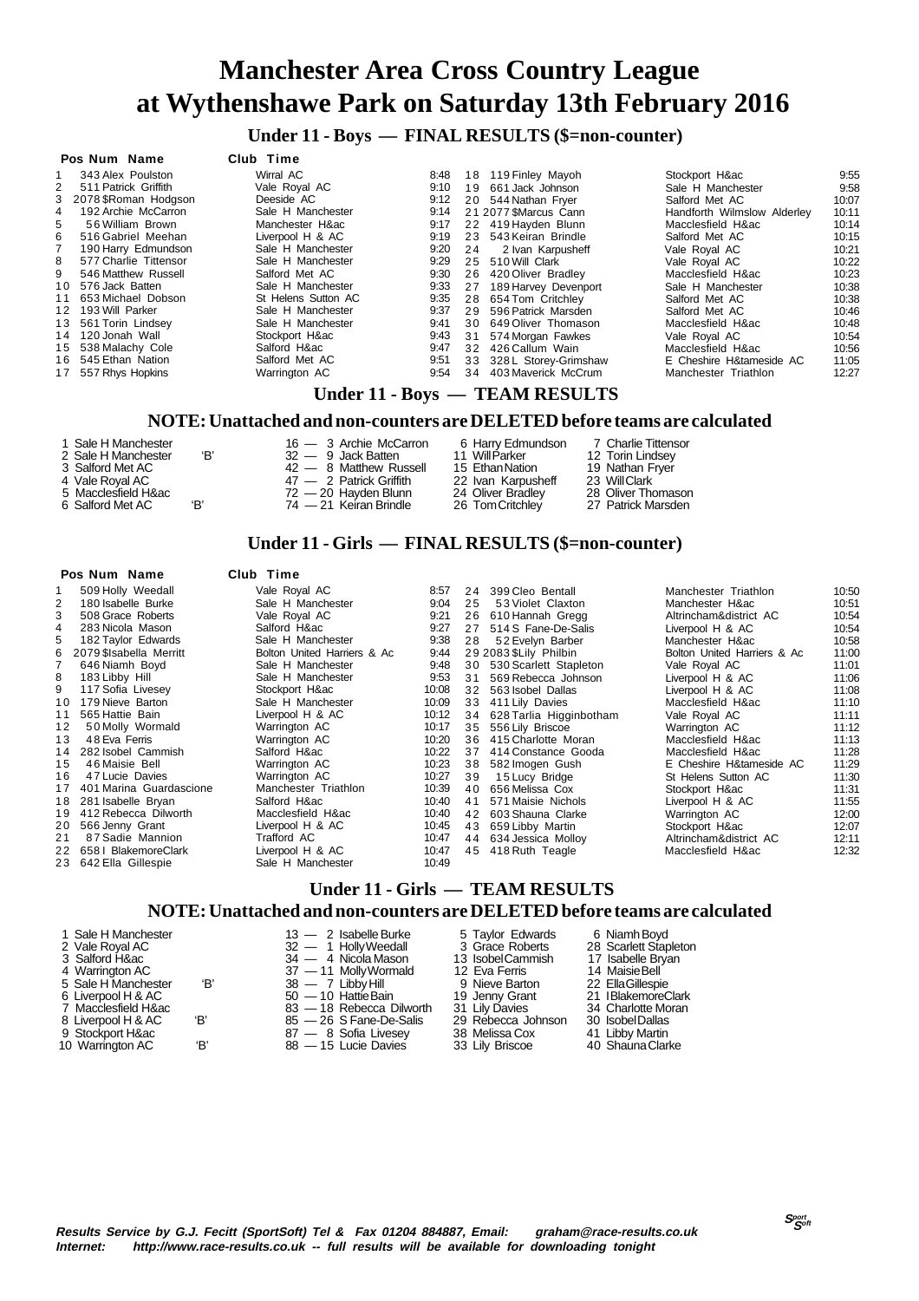**Under 11 - Boys — FINAL RESULTS (\$=non-counter)**

#### **Pos Num Name Club Time**

|    | 343 Alex Poulston      | Wirral AC           | 8:48 |    | 18 119 Finley Mayoh      | Stockport H∾                | 9:55  |
|----|------------------------|---------------------|------|----|--------------------------|-----------------------------|-------|
| 2  | 511 Patrick Griffith   | Vale Royal AC       | 9:10 |    | 19 661 Jack Johnson      | Sale H Manchester           | 9:58  |
|    | 3 2078 \$Roman Hodgson | Deeside AC          | 9:12 |    | 20 544 Nathan Frver      | Salford Met AC              | 10:07 |
| 4  | 192 Archie McCarron    | Sale H Manchester   | 9:14 |    | 21 2077 SMarcus Cann     | Handforth Wilmslow Alderley | 10:11 |
| 5. | 56 William Brown       | Manchester H∾       | 9:17 |    | 22 419 Havden Blunn      | Macclesfield H∾             | 10:14 |
| 6. | 516 Gabriel Meehan     | Liverpool H & AC    | 9:19 |    | 23 543 Keiran Brindle    | Salford Met AC              | 10:15 |
|    | 190 Harry Edmundson    | Sale H Manchester   | 9:20 | 24 | 2 Ivan Karpusheff        | Vale Roval AC               | 10:21 |
| 8  | 577 Charlie Tittensor  | Sale H Manchester   | 9:29 |    | 25 510 Will Clark        | Vale Roval AC               | 10:22 |
| 9  | 546 Matthew Russell    | Salford Met AC      | 9:30 |    | 26 420 Oliver Bradley    | Macclesfield H∾             | 10:23 |
|    | 10 576 Jack Batten     | Sale H Manchester   | 9:33 |    | 27 189 Harvey Devenport  | Sale H Manchester           | 10:38 |
|    | 11 653 Michael Dobson  | St Helens Sutton AC | 9:35 |    | 28 654 Tom Critchlev     | Salford Met AC              | 10:38 |
|    | 12 193 Will Parker     | Sale H Manchester   | 9:37 | 29 | 596 Patrick Marsden      | Salford Met AC              | 10:46 |
|    | 13 561 Torin Lindsey   | Sale H Manchester   | 9:41 |    | 30 649 Oliver Thomason   | Macclesfield H∾             | 10:48 |
|    | 14 120 Jonah Wall      | Stockport H∾        | 9:43 |    | 31 574 Morgan Fawkes     | Vale Roval AC               | 10:54 |
|    | 15 538 Malachy Cole    | Salford H∾          | 9:47 |    | 32 426 Callum Wain       | Macclesfield H∾             | 10:56 |
|    | 16 545 Ethan Nation    | Salford Met AC      | 9:51 |    | 33 328 L Storey-Grimshaw | E Cheshire H&tameside AC    | 11:05 |
|    | 17 557 Rhys Hopkins    | Warrington AC       | 9.54 | 34 | 403 Maverick McCrum      | Manchester Triathlon        | 12:27 |
|    |                        |                     |      |    |                          |                             |       |

#### **Under 11 - Boys — TEAM RESULTS**

#### **NOTE: Unattached and non-counters are DELETED before teams are calculated**

| 1 Sale H Manchester |     | 16 - 3 Archie McCarron    | 6 Harry Edmundson  | 7 Charlie Tittensor |
|---------------------|-----|---------------------------|--------------------|---------------------|
| 2 Sale H Manchester | ʻB' | $32 - 9$ Jack Batten      | 11 Will Parker     | 12 Torin Lindsev    |
| 3 Salford Met AC    |     | 42 - 8 Matthew Russell    | 15 Ethan Nation    | 19 Nathan Fryer     |
| 4 Vale Royal AC     |     | $47 - 2$ Patrick Griffith | 22 Ivan Karpusheff | 23 WillClark        |
| 5 Macclesfield H∾   |     | $72 - 20$ Havden Blunn    | 24 Oliver Bradley  | 28 Oliver Thomasor  |
| 6 Salford Met AC    | 'B' | 74 — 21 Keiran Brindle    | 26 Tom Critchlev   | 27 Patrick Marsden  |

#### **Under 11 - Girls — FINAL RESULTS (\$=non-counter)**

15 Salta Luissell<br>19 Nathan Fryer 23 Will Clark 28 Oliver Thomason 27 Patrick Marsden

#### **Pos Num Name Club Time**

|    | 509 Holly Weedall          | Vale Royal AC               | 8:57  | 24 | 399 Cleo Bentall           | Manchester Triathlon        | 10:50 |
|----|----------------------------|-----------------------------|-------|----|----------------------------|-----------------------------|-------|
|    | 180 Isabelle Burke         | Sale H Manchester           | 9:04  | 25 | 53 Violet Claxton          | Manchester H∾               | 10:51 |
|    | 508 Grace Roberts          | Vale Roval AC               | 9:21  |    | 26 610 Hannah Gregg        | Altrincham&district AC      | 10:54 |
| 4  | 283 Nicola Mason           | Salford H∾                  | 9.27  | 27 | 514 S Fane-De-Salis        | Liverpool H & AC            | 10:54 |
| 5. | 182 Taylor Edwards         | Sale H Manchester           | 9.38  | 28 | 52 Evelyn Barber           | Manchester H∾               | 10:58 |
| 6. | 2079 \$Isabella Merritt    | Bolton United Harriers & Ac | 9:44  |    | 29 2083 SLily Philbin      | Bolton United Harriers & Ac | 11:00 |
|    | 646 Niamh Boyd             | Sale H Manchester           | 9:48  |    | 30 530 Scarlett Stapleton  | Vale Royal AC               | 11:01 |
| 8  | 183 Libby Hill             | Sale H Manchester           | 9:53  |    | 31 569 Rebecca Johnson     | Liverpool H & AC            | 11:06 |
| 9  | 117 Sofia Livesev          | Stockport H∾                | 10:08 |    | 32 563 Isobel Dallas       | Liverpool H & AC            | 11:08 |
| 10 | 179 Nieve Barton           | Sale H Manchester           | 10:09 |    | 33 411 Lily Davies         | Macclesfield H∾             | 11:10 |
| 11 | 565 Hattie Bain            | Liverpool H & AC            | 10:12 |    | 34 628 Tarlia Higginbotham | Vale Royal AC               | 11:11 |
| 12 | 50 Molly Wormald           | Warrington AC               | 10:17 | 35 | 556 Lily Briscoe           | Warrington AC               | 11:12 |
| 13 | 48 Eva Ferris              | Warrington AC               | 10:20 |    | 36 415 Charlotte Moran     | Macclesfield H∾             | 11:13 |
|    | 14 282 Isobel Cammish      | Salford H∾                  | 10:22 | 37 | 414 Constance Gooda        | Macclesfield H∾             | 11:28 |
| 15 | 46 Maisie Bell             | Warrington AC               | 10:23 |    | 38 582 Imogen Gush         | E Cheshire H&tameside AC    | 11:29 |
| 16 | 47 Lucie Davies            | Warrington AC               | 10:27 | 39 | 15 Lucy Bridge             | St Helens Sutton AC         | 11:30 |
|    | 17 401 Marina Guardascione | Manchester Triathlon        | 10:39 | 40 | 656 Melissa Cox            | Stockport H∾                | 11:31 |
|    | 18 281 Isabelle Bryan      | Salford H∾                  | 10:40 | 41 | 571 Maisie Nichols         | Liverpool H & AC            | 11:55 |
| 19 | 412 Rebecca Dilworth       | Macclesfield H∾             | 10:40 | 42 | 603 Shauna Clarke          | Warrington AC               | 12:00 |
|    | 20 566 Jenny Grant         | Liverpool H & AC            | 10:45 |    | 43 659 Libby Martin        | Stockport H∾                | 12:07 |
| 21 | 87 Sadie Mannion           | Trafford AC                 | 10:47 |    | 44 634 Jessica Molloy      | Altrincham&district AC      | 12:11 |
|    | 22 658 I BlakemoreClark    | Liverpool H & AC            | 10:47 |    | 45 418 Ruth Teagle         | Macclesfield H∾             | 12:32 |
|    | 23 642 Ella Gillespie      | Sale H Manchester           | 10:49 |    |                            |                             |       |
|    |                            |                             |       |    |                            |                             |       |

#### **Under 11 - Girls — TEAM RESULTS NOTE: Unattached and non-counters are DELETED before teams are calculated**

| 1 Sale H Manchester<br>2 Vale Roval AC<br>3 Salford H∾<br>4 Warrington AC<br>5 Sale H Manchester<br>'В'<br>6 Liverpool H & AC<br>7 Macclesfield H∾<br>'В'<br>8 Liverpool H & AC<br>9 Stockport H∾<br>'В'<br>10 Warrington AC | $13 - 2$ Isabelle Burke<br>32 - 1 Holly Weedall<br>$34 - 4$ Nicola Mason<br>37 - 11 Molly Wormald<br>$38 - 7$ Libby Hill<br>$50 - 10$ Hattie Bain<br>83 - 18 Rebecca Dilworth<br>85 - 26 S Fane-De-Salis<br>87 - 8 Sofia Livesey<br>88 - 15 Lucie Davies | 5 Taylor Edwards<br>3 Grace Roberts<br>13 IsobelCammish<br>12 Eva Ferris<br>9 Nieve Barton<br>19 Jenny Grant<br>31 Lily Davies<br>29 Rebecca Johnson<br>38 Melissa Cox<br>33 Lily Briscoe | 6 Niamh Boyd<br>28 Scarlett Stapleton<br>17 Isabelle Bryan<br>14 Maisie Bell<br>22 Ella Gillespie<br>21 IBlakemoreClark<br>34 Charlotte Moran<br>30 Isobel Dallas<br>41 Libby Martin<br>40 Shauna Clarke |
|------------------------------------------------------------------------------------------------------------------------------------------------------------------------------------------------------------------------------|----------------------------------------------------------------------------------------------------------------------------------------------------------------------------------------------------------------------------------------------------------|-------------------------------------------------------------------------------------------------------------------------------------------------------------------------------------------|----------------------------------------------------------------------------------------------------------------------------------------------------------------------------------------------------------|
|------------------------------------------------------------------------------------------------------------------------------------------------------------------------------------------------------------------------------|----------------------------------------------------------------------------------------------------------------------------------------------------------------------------------------------------------------------------------------------------------|-------------------------------------------------------------------------------------------------------------------------------------------------------------------------------------------|----------------------------------------------------------------------------------------------------------------------------------------------------------------------------------------------------------|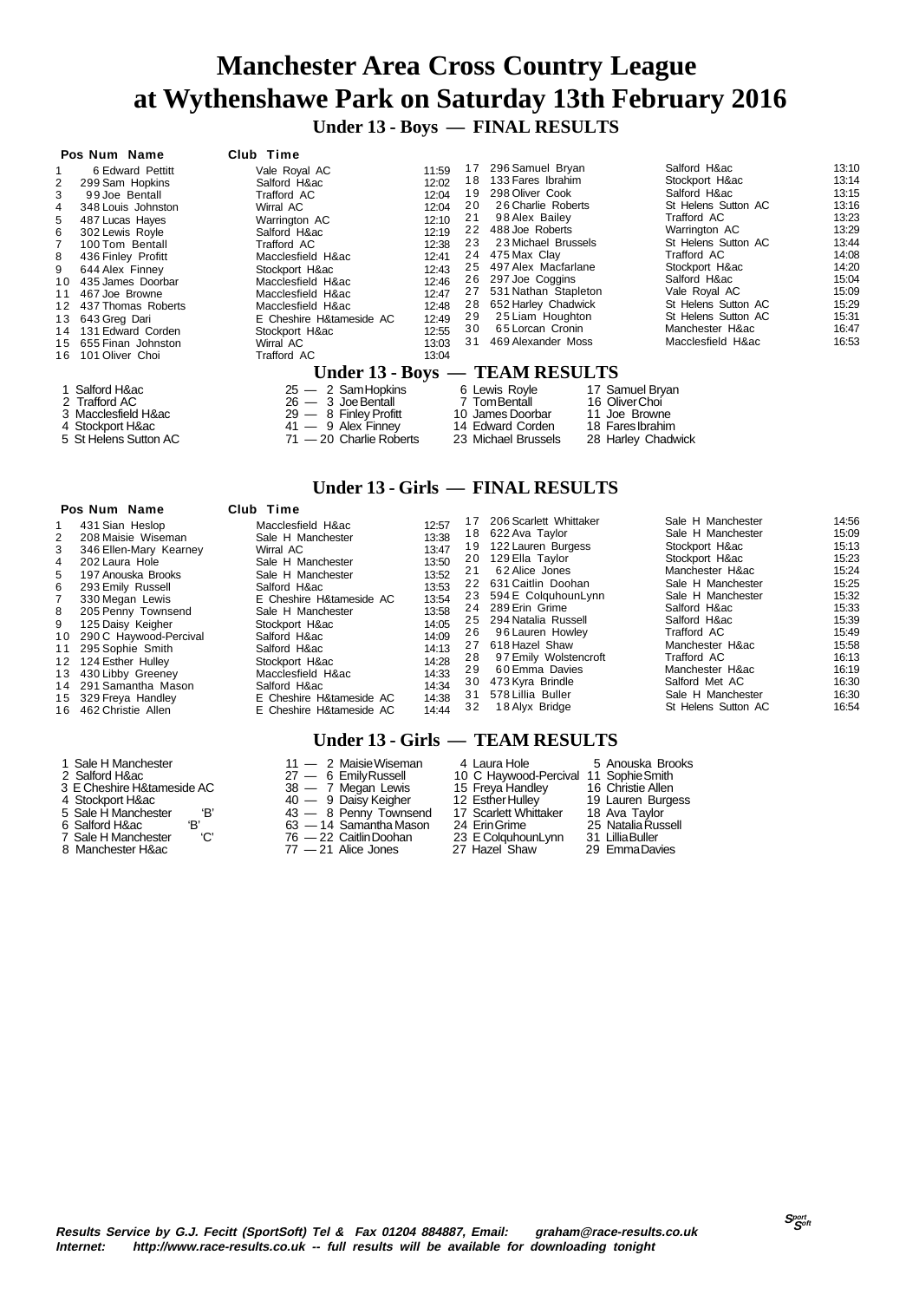**Under 13 - Boys — FINAL RESULTS**

#### **Pos Num Name Club Time**

|    | 6 Edward Pettitt      | Vale Royal AC            | 11:59 | 17 | 296 Samuel Bryan                | Salford H∾          | 13:10 |
|----|-----------------------|--------------------------|-------|----|---------------------------------|---------------------|-------|
| 2  | 299 Sam Hopkins       | Salford H∾               | 12:02 | 18 | 133 Fares Ibrahim               | Stockport H∾        | 13:14 |
|    | 99 Joe Bentall        | Trafford AC              | 12:04 | 19 | 298 Oliver Cook                 | Salford H∾          | 13:15 |
| 4  | 348 Louis Johnston    | Wirral AC                | 12:04 | 20 | 26 Charlie Roberts              | St Helens Sutton AC | 13:16 |
| 5  | 487 Lucas Haves       | Warrington AC            | 12:10 | 21 | 98 Alex Bailey                  | Trafford AC         | 13:23 |
| 6  | 302 Lewis Royle       | Salford H∾               | 12:19 | 22 | 488 Joe Roberts                 | Warrington AC       | 13:29 |
|    | 100 Tom Bentall       | Trafford AC              | 12:38 | 23 | 23 Michael Brussels             | St Helens Sutton AC | 13:44 |
| 8  | 436 Finley Profitt    | Macclesfield H∾          | 12:41 | 24 | 475 Max Clav                    | Trafford AC         | 14:08 |
| 9  | 644 Alex Finney       | Stockport H∾             | 12:43 |    | 25 497 Alex Macfarlane          | Stockport H∾        | 14:20 |
|    | 10 435 James Doorbar  | Macclesfield H∾          | 12:46 | 26 | 297 Joe Coggins                 | Salford H∾          | 15:04 |
|    | 11 467 Joe Browne     | Macclesfield H∾          | 12:47 |    | 27 531 Nathan Stapleton         | Vale Royal AC       | 15:09 |
|    | 12 437 Thomas Roberts | Macclesfield H∾          | 12:48 | 28 | 652 Harley Chadwick             | St Helens Sutton AC | 15:29 |
|    | 13 643 Greg Dari      | E Cheshire H&tameside AC | 12:49 | 29 | 25 Liam Houghton                | St Helens Sutton AC | 15:31 |
|    | 14 131 Edward Corden  | Stockport H∾             | 12:55 | 30 | 65 Lorcan Cronin                | Manchester H∾       | 16:47 |
|    | 15 655 Finan Johnston | Wirral AC                | 13:03 | 31 | 469 Alexander Moss              | Macclesfield H∾     | 16:53 |
| 16 | 101 Oliver Choi       | Trafford AC              | 13:04 |    |                                 |                     |       |
|    |                       |                          |       |    | Under 13 - Boys — TEAM RESULTS  |                     |       |
|    | 1 Salford H∾          | $25 - 2$ Sam Hopkins     |       |    | 6 Lewis Royle                   | 17 Samuel Bryan     |       |
|    | 2 Trafford AC         | $26 - 3$ Joe Bentall     |       |    | 7 Tom Bentall<br>16 Oliver Choi |                     |       |
|    | 3 Macclesfield H∾     | $29 - 8$ Finley Profitt  |       |    | 10 James Doorbar                | 11 Joe Browne       |       |

### **Pos Num Name Club Time**

|                 | סטוטטו ו וואוט וי      |                      |
|-----------------|------------------------|----------------------|
| $\overline{2}$  | 208 Maisie Wiseman     |                      |
| 3               | 346 Ellen-Mary Kearney |                      |
| 4               | 202 Laura Hole         |                      |
| 5               | 197 Anouska Brooks     |                      |
| 6               | 293 Emily Russell      | Co.Co.Co.Co.Co.Co.Co |
| $\overline{7}$  | 330 Megan Lewis        |                      |
| 8               | 205 Penny Townsend     |                      |
| 9               | 125 Daisy Keigher      |                      |
| 10 <sup>°</sup> | 290 C Haywood-Percival |                      |
| 11              | 295 Sophie Smith       |                      |
| 12              | 124 Esther Hulley      |                      |
| 13              | 430 Libby Greeney      | Ņ                    |
| 14              | 291 Samantha Mason     | ŝ                    |
|                 | 15 329 Freya Handley   | E                    |
| 16              | 462 Christie Allen     | E                    |

#### 1 Sale H Manchester 11 — 2 Maisie Wiseman 4 Laura Hole 5 Anouska Brooks 1 Sale H Manchester 11 — 2 Maisie Wiseman 1 Laura Hole 5 Anouska Bro 2 Salford H&ac 2 Salford H&ac 27 — 6 Emily Russell 10 C Haywood-Percival 11 Sophie Smith<br>2 Salford H&ac 27 — 6 Emily Russell 10 C Haywood-Percival 11 Sop 3 E Cheshire H&tameside AC 38 — 7 Megan Lewis 15 Freya Handley 16 Christie Allen 4 Stockport H&ac 40 — 9 Daisy Keigher 12 Esther Hulley 19 Lauren Burgess 5 Sale H Manchester 'B' 43 — 8 Penny Townsend 17 Scarlett Whittaker 18 Ava Taylor

- 
- 

 4 Stockport H&ac 41 — 9 Alex Finney 14 Edward Corden 18 Fares Ibrahim 5 St Helens Sutton AC 71 — 20 Charlie Roberts 23 Michael Brussels 28 Harley Chadwick

#### **Under 13 - Girls — FINAL RESULTS**

|    | $1.93$ IVAIII IVAIIIV     | VIUN IIIIV               |       |     |                        |                     |       |
|----|---------------------------|--------------------------|-------|-----|------------------------|---------------------|-------|
|    | 431 Sian Heslop           | Macclesfield H∾          | 12:57 | 17  | 206 Scarlett Whittaker | Sale H Manchester   | 14:56 |
|    | 208 Maisie Wiseman        | Sale H Manchester        | 13:38 |     | 18 622 Ava Taylor      | Sale H Manchester   | 15:09 |
| 3  | 346 Ellen-Mary Kearney    | Wirral AC                | 13:47 | 19  | 122 Lauren Burgess     | Stockport H∾        | 15:13 |
| 4  | 202 Laura Hole            | Sale H Manchester        | 13:50 | 20  | 129 Ella Taylor        | Stockport H∾        | 15:23 |
| 5. | 197 Anouska Brooks        | Sale H Manchester        | 13:52 | 21  | 62 Alice Jones         | Manchester H∾       | 15:24 |
| 6. | 293 Emily Russell         | Salford H∾               | 13:53 |     | 22 631 Caitlin Doohan  | Sale H Manchester   | 15:25 |
|    | 330 Megan Lewis           | E Cheshire H&tameside AC | 13:54 |     | 23 594 E ColguhounLynn | Sale H Manchester   | 15:32 |
| 8  | 205 Penny Townsend        | Sale H Manchester        | 13:58 |     | 24 289 Erin Grime      | Salford H∾          | 15:33 |
| 9  | 125 Daisy Keigher         | Stockport H∾             | 14:05 |     | 25 294 Natalia Russell | Salford H∾          | 15:39 |
|    | 10 290 C Havwood-Percival | Salford H∾               | 14:09 | 26. | 96 Lauren Howley       | Trafford AC         | 15:49 |
|    | 11 295 Sophie Smith       | Salford H∾               | 14:13 | 27  | 618 Hazel Shaw         | Manchester H∾       | 15:58 |
|    | 12 124 Esther Hulley      | Stockport H∾             | 14:28 | 28  | 97 Emily Wolstencroft  | Trafford AC         | 16:13 |
|    | 13 430 Libby Greeney      | Macclesfield H∾          | 14:33 | 29  | 60 Emma Davies         | Manchester H∾       | 16:19 |
|    | 14 291 Samantha Mason     | Salford H∾               | 14:34 | 30  | 473 Kyra Brindle       | Salford Met AC      | 16:30 |
|    |                           |                          |       | 31  | 578 Lillia Buller      | Sale H Manchester   | 16:30 |
|    | 15 329 Freya Handley      | E Cheshire H&tameside AC | 14:38 | 32  | 18 Alyx Bridge         | St Helens Sutton AC | 16:54 |
|    | 16 462 Christie Allen     | E Cheshire H&tameside AC | 14:44 |     |                        |                     |       |

#### **Under 13 - Girls — TEAM RESULTS**

- 6 Salford H&ac 'B' 63 14 Samantha Mason 24 Erin Grime 25 Natalia Russell 7 Sale H Manchester 'C' 76 — 22 Caitlin Doohan 23 E ColquhounLynn 31 Lillia Buller 8 Manchester H&ac 77 — 21 Alice Jones 27 Hazel Shaw 29 Emma Davies
	-
- 
- 
- 
- -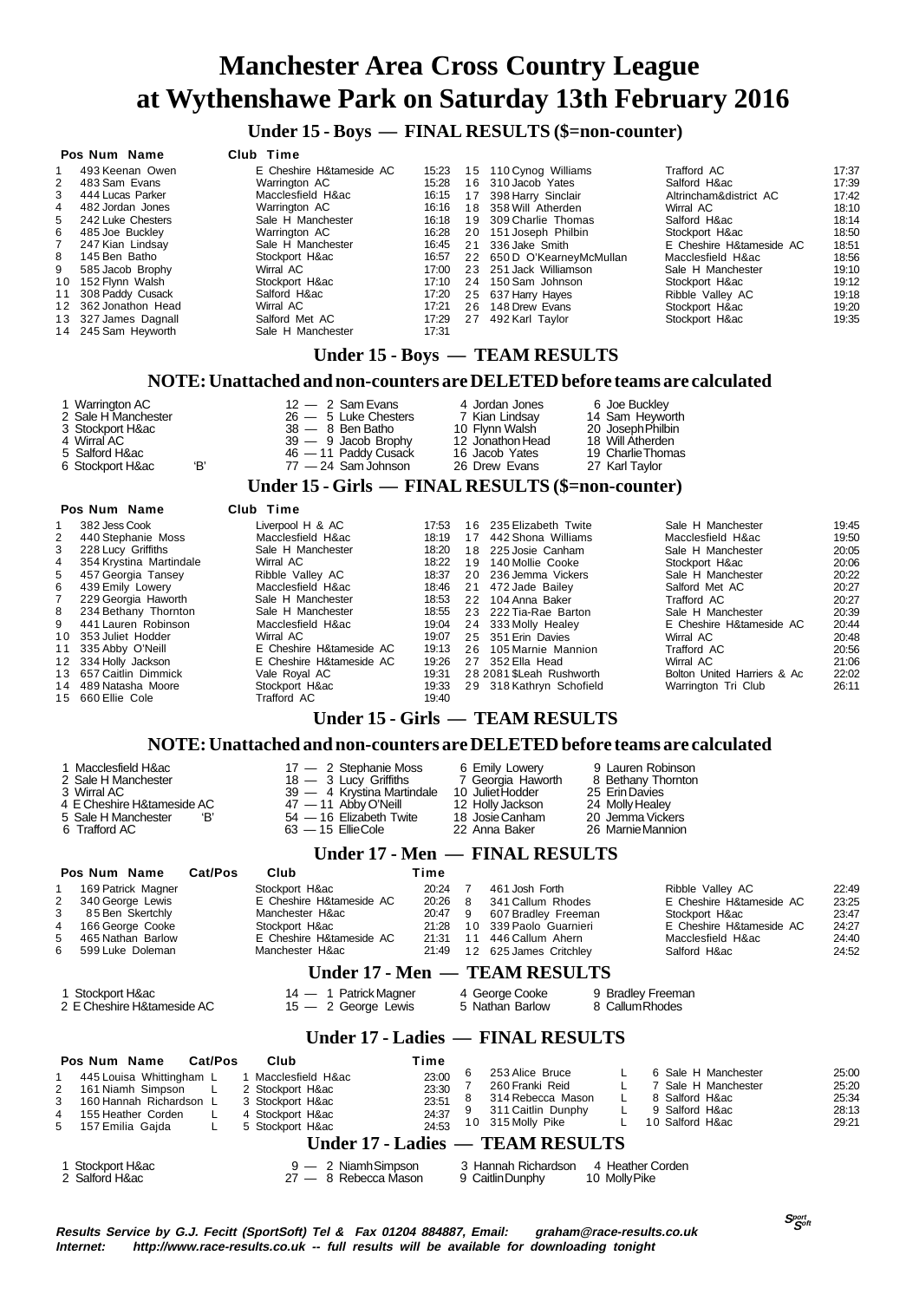**Under 15 - Boys — FINAL RESULTS (\$=non-counter)**

#### **Pos Num Name Club Time**

|    | 493 Keenan Owen      | E Cheshire H&tameside AC | 15:23 |    | 15 110 Cynog Williams      | Trafford AC              | 17:37 |
|----|----------------------|--------------------------|-------|----|----------------------------|--------------------------|-------|
| 2  | 483 Sam Evans        | Warrington AC            | 15:28 |    | 16 310 Jacob Yates         | Salford H∾               | 17:39 |
| 3  | 444 Lucas Parker     | Macclesfield H∾          | 16:15 |    | 17 398 Harry Sinclair      | Altrincham&district AC   | 17:42 |
| 4  | 482 Jordan Jones     | Warrington AC            | 16:16 |    | 18 358 Will Atherden       | Wirral AC                | 18:10 |
| 5. | 242 Luke Chesters    | Sale H Manchester        | 16:18 |    | 19 309 Charlie Thomas      | Salford H∾               | 18:14 |
| 6. | 485 Joe Buckley      | Warrington AC            | 16:28 |    | 20 151 Joseph Philbin      | Stockport H∾             | 18:50 |
| 7  | 247 Kian Lindsay     | Sale H Manchester        | 16:45 | 21 | 336 Jake Smith             | E Cheshire H&tameside AC | 18:51 |
| 8  | 145 Ben Batho        | Stockport H∾             | 16:57 |    | 22 650 D O'KearneyMcMullan | Macclesfield H∾          | 18:56 |
| 9  | 585 Jacob Brophy     | Wirral AC                | 17:00 |    | 23 251 Jack Williamson     | Sale H Manchester        | 19:10 |
|    | 10 152 Flvnn Walsh   | Stockport H∾             | 17:10 |    | 24 150 Sam Johnson         | Stockport H∾             | 19:12 |
|    | 11 308 Paddy Cusack  | Salford H∾               | 17:20 |    | 25 637 Harry Hayes         | Ribble Valley AC         | 19:18 |
|    | 12 362 Jonathon Head | Wirral AC                | 17:21 |    | 26 148 Drew Evans          | Stockport H∾             | 19:20 |
|    | 13 327 James Dagnall | Salford Met AC           | 17:29 | 27 | 492 Karl Taylor            | Stockport H∾             | 19:35 |
|    | 14 245 Sam Heyworth  | Sale H Manchester        | 17:31 |    |                            |                          |       |
|    |                      |                          |       |    |                            |                          |       |

#### **Under 15 - Boys — TEAM RESULTS**

#### **NOTE: Unattached and non-counters are DELETED before teams are calculated**

| 1 Warrington AC     |   | $12 - 2$ Sam Evans     | 4 Jordan Jones   | 6 Joe Buckley     |
|---------------------|---|------------------------|------------------|-------------------|
| 2 Sale H Manchester |   | $26 - 5$ Luke Chesters | 7 Kian Lindsay   | 14 Sam Hevworth   |
| 3 Stockport H∾      |   | $38 - 8$ Ben Batho     | 10 Flynn Walsh   | 20 Joseph Philbin |
| 4 Wirral AC         |   | $39 - 9$ Jacob Brophy  | 12 Jonathon Head | 18 Will Atherden  |
| 5 Salford H∾        |   | 46 - 11 Paddy Cusack   | 16 Jacob Yates   | 19 Charlie Thomas |
| 6 Stockport H∾      | Έ | $77 - 24$ Sam Johnson  | 26 Drew Evans    | 27 Karl Taylor    |

#### **Under 15 - Girls — FINAL RESULTS (\$=non-counter)**

#### **Pos Num Name Club Time**

|    | 382 Jess Cook           | Liverpool H & AC         | 17:53 |    | 16 235 Elizabeth Twite   | Sale H Manchester           | 19:45 |
|----|-------------------------|--------------------------|-------|----|--------------------------|-----------------------------|-------|
| 2  | 440 Stephanie Moss      | Macclesfield H∾          | 18:19 | 17 | 442 Shona Williams       | Macclesfield H∾             | 19:50 |
| 3  | 228 Lucy Griffiths      | Sale H Manchester        | 18:20 |    | 18 225 Josie Canham      | Sale H Manchester           | 20:05 |
| 4  | 354 Krystina Martindale | Wirral AC                | 18:22 |    | 19 140 Mollie Cooke      | Stockport H∾                | 20:06 |
| 5. | 457 Georgia Tansey      | Ribble Valley AC         | 18:37 |    | 20 236 Jemma Vickers     | Sale H Manchester           | 20:22 |
| 6. | 439 Emily Lowery        | Macclesfield H∾          | 18:46 |    | 21 472 Jade Bailey       | Salford Met AC              | 20:27 |
|    | 229 Georgia Haworth     | Sale H Manchester        | 18:53 |    | 22 104 Anna Baker        | Trafford AC                 | 20:27 |
|    | 8 234 Bethany Thornton  | Sale H Manchester        | 18:55 |    | 23 222 Tia-Rae Barton    | Sale H Manchester           | 20:39 |
|    | 9 441 Lauren Robinson   | Macclesfield H∾          | 19:04 |    | 24 333 Molly Healey      | E Cheshire H&tameside AC    | 20:44 |
|    | 10 353 Juliet Hodder    | Wirral AC                | 19:07 |    | 25 351 Erin Davies       | Wirral AC                   | 20:48 |
|    | 11 335 Abby O'Neill     | E Cheshire H&tameside AC | 19:13 |    | 26 105 Marnie Mannion    | Trafford AC                 | 20:56 |
|    | 12 334 Holly Jackson    | E Cheshire H&tameside AC | 19:26 |    | 27 352 Ella Head         | Wirral AC                   | 21:06 |
|    | 13 657 Caitlin Dimmick  | Vale Roval AC            | 19:31 |    | 28 2081 SLeah Rushworth  | Bolton United Harriers & Ac | 22:02 |
|    | 14 489 Natasha Moore    | Stockport H∾             | 19:33 |    | 29 318 Kathryn Schofield | Warrington Tri Club         | 26:11 |
|    | 15 660 Ellie Cole       | Trafford AC              | 19:40 |    |                          |                             |       |
|    |                         |                          |       |    |                          |                             |       |

#### **Under 15 - Girls — TEAM RESULTS**

#### **NOTE: Unattached and non-counters are DELETED before teams are calculated**

| 1 Macclesfield H∾<br>2 Sale H Manchester<br>3 Wirral AC<br>4 E Cheshire H&tameside AC<br>5 Sale H Manchester<br>'B'<br>6 Trafford AC | 17 - 2 Stephanie Moss<br>$18 - 3$ Lucy Griffiths<br>39 - 4 Krystina Martindale 10 Juliet Hodder<br>$47 - 11$ Abby O'Neill<br>54 - 16 Elizabeth Twite<br>$63 - 15$ EllieCole | 6 Emily Lowery<br>7 Georgia Haworth<br>12 Holly Jackson<br>18 Josie Canham<br>22 Anna Baker | 9 Lauren Robinson<br>8 Bethany Thornton<br>25 Erin Davies<br>24 Molly Healey<br>20 Jemma Vickers<br>26 Marnie Mannion |  |  |  |
|--------------------------------------------------------------------------------------------------------------------------------------|-----------------------------------------------------------------------------------------------------------------------------------------------------------------------------|---------------------------------------------------------------------------------------------|-----------------------------------------------------------------------------------------------------------------------|--|--|--|
| Under 17 - Men — FINAL RESULTS                                                                                                       |                                                                                                                                                                             |                                                                                             |                                                                                                                       |  |  |  |

|             | Pos Num Name        | Cat/Pos | Club                     | Time    |    |                               |                          |       |
|-------------|---------------------|---------|--------------------------|---------|----|-------------------------------|--------------------------|-------|
| $1 \quad$   | 169 Patrick Magner  |         | Stockport H∾             | 20:24   |    | 461 Josh Forth                | Ribble Valley AC         | 22:49 |
|             | 2 340 George Lewis  |         | E Cheshire H&tameside AC | 20:26 8 |    | 341 Callum Rhodes             | E Cheshire H&tameside AC | 23.25 |
| $3^{\circ}$ | 85 Ben Skertchly    |         | Manchester H∾            | 20:47 9 |    | 607 Bradley Freeman           | Stockport H∾             | 23:47 |
|             | 4 166 George Cooke  |         | Stockport H∾             | 21:28   |    | 10 339 Paolo Guarnieri        | E Cheshire H&tameside AC | 24:27 |
|             | 5 465 Nathan Barlow |         | E Cheshire H&tameside AC | 21:31   | 11 | 446 Callum Ahern              | Macclesfield H∾          | 24:40 |
|             | 6 599 Luke Doleman  |         | Manchester H∾            | 21:49   |    | 12 625 James Critchley        | Salford H∾               | 24:52 |
|             |                     |         |                          |         |    | Under 17 - Men — TEAM RESULTS |                          |       |

|                            | Under $1/$ - Men $\implies$ 1 EAM RESULTS |                 |                   |  |
|----------------------------|-------------------------------------------|-----------------|-------------------|--|
| 1 Stockport H∾             | 14 — 1 Patrick Magner                     | 4 George Cooke  | 9 Bradley Freeman |  |
| 2 E Cheshire H&tameside AC | $15 - 2$ George Lewis                     | 5 Nathan Barlow | 8 Callum Rhodes   |  |

#### **Under 17 - Ladies — FINAL RESULTS**

| Pos Num Name              | <b>Cat/Pos</b> | Club              | Time  |   |                                  |  |                     |       |
|---------------------------|----------------|-------------------|-------|---|----------------------------------|--|---------------------|-------|
| 445 Louisa Whittingham L  |                | 1 Macclesfield H∾ | 23:00 |   | 253 Alice Bruce                  |  | 6 Sale H Manchester | 25:00 |
| 2 161 Niamh Simpson L     |                | 2 Stockport H∾    | 23:30 |   | 260 Franki Reid                  |  | 7 Sale H Manchester | 25:20 |
| 3 160 Hannah Richardson L |                | 3 Stockport H∾    | 23:51 |   | 314 Rebecca Mason                |  | 8 Salford H∾        | 25:34 |
| 4 155 Heather Corden      |                | 4 Stockport H∾    | 24:37 | 9 | 311 Caitlin Dunphy               |  | 9 Salford H∾        | 28:13 |
| 5 157 Emilia Gaida        |                | 5 Stockport H∾    | 24:53 |   | 10 315 Molly Pike                |  | 10 Salford H∾       | 29:21 |
|                           |                |                   |       |   | Under 17 - Ladies — TEAM RESULTS |  |                     |       |

## 1 Stockport H&ac 9 — 2 Niamh Simpson 3 Hannah Richardson 4 Heather Corden 2 Salford H&ac 27 — 8 Rebecca Mason 9 Caitlin Dunphy 10 Molly Pike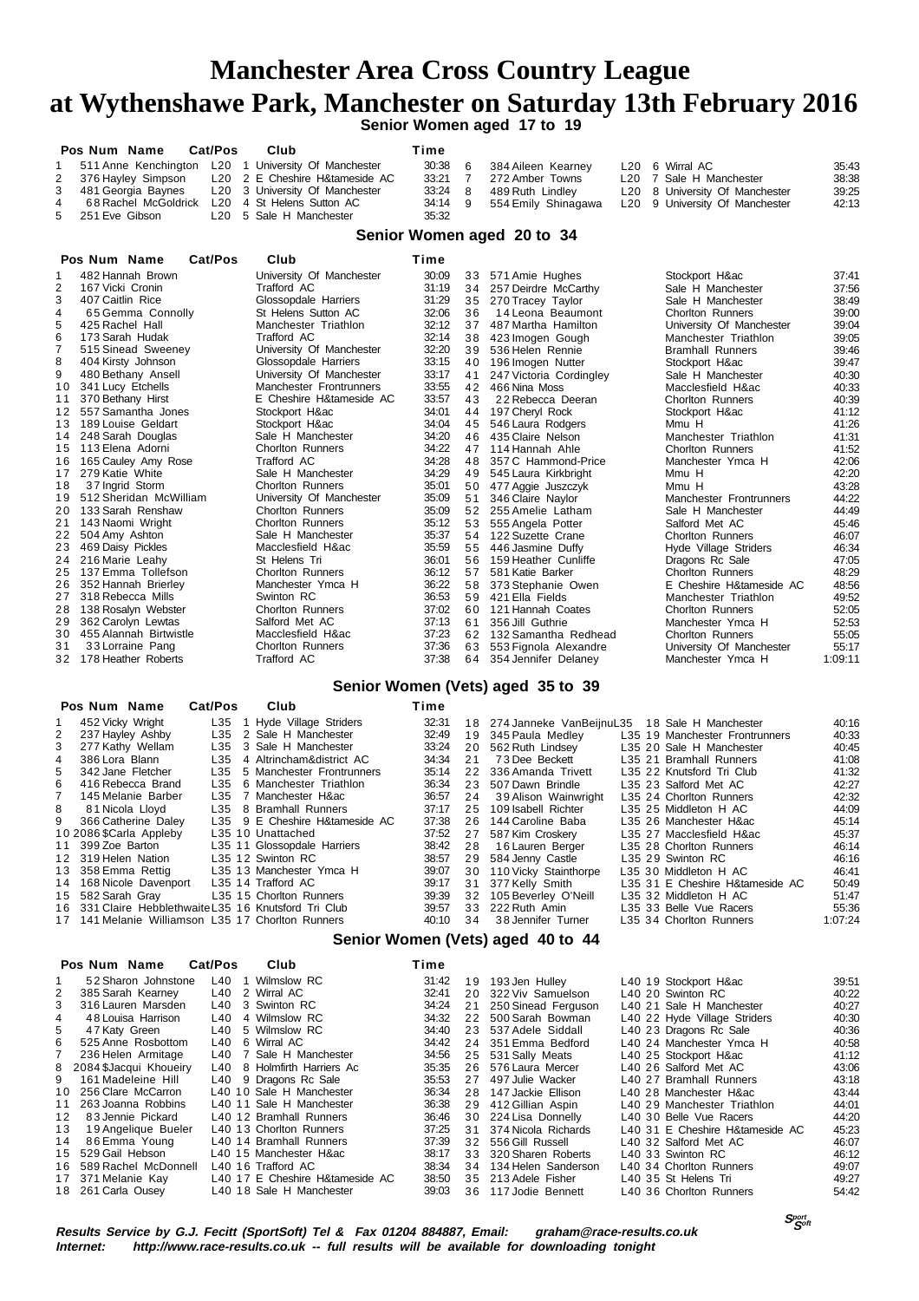**Senior Women aged 17 to 19**

|                | Pos Num Name<br><b>Cat/Pos</b>                 | Club                                                | Time    |                     |                                |       |
|----------------|------------------------------------------------|-----------------------------------------------------|---------|---------------------|--------------------------------|-------|
|                |                                                | 511 Anne Kenchington L20 1 University Of Manchester | 30:38 6 | 384 Aileen Kearney  | L20 6 Wirral AC                | 35:43 |
|                | 2 376 Hayley Simpson                           | L20 2 E Cheshire H&tameside AC                      | 33:21 7 | 272 Amber Towns     | L20 7 Sale H Manchester        | 38:38 |
|                | 3 481 Georgia Baynes                           | L20 3 University Of Manchester                      | 33:24 8 | 489 Ruth Lindlev    | L20 8 University Of Manchester | 39.25 |
| $\overline{4}$ | 68 Rachel McGoldrick L20 4 St Helens Sutton AC |                                                     | 34:14 9 | 554 Emily Shinagawa | L20 9 University Of Manchester | 42:13 |
|                | 5 251 Eve Gibson                               | L20 5 Sale H Manchester                             | 35:32   |                     |                                |       |

#### **Senior Women aged 20 to 34**

|                 | Cat/Pos<br>Pos Num Name | Club                     | Time  |    |                         |                          |         |
|-----------------|-------------------------|--------------------------|-------|----|-------------------------|--------------------------|---------|
| 1               | 482 Hannah Brown        | University Of Manchester | 30:09 | 33 | 571 Amie Hughes         | Stockport H∾             | 37:41   |
| $\overline{2}$  | 167 Vicki Cronin        | Trafford AC              | 31:19 |    | 34 257 Deirdre McCarthy | Sale H Manchester        | 37:56   |
| 3               | 407 Caitlin Rice        | Glossopdale Harriers     | 31:29 | 35 | 270 Tracey Taylor       | Sale H Manchester        | 38:49   |
| 4               | 65 Gemma Connolly       | St Helens Sutton AC      | 32:06 | 36 | 14 Leona Beaumont       | <b>Chorlton Runners</b>  | 39:00   |
| 5               | 425 Rachel Hall         | Manchester Triathlon     | 32:12 | 37 | 487 Martha Hamilton     | University Of Manchester | 39:04   |
| 6               | 173 Sarah Hudak         | Trafford AC              | 32:14 | 38 | 423 Imogen Gough        | Manchester Triathlon     | 39:05   |
| $\overline{7}$  | 515 Sinead Sweeney      | University Of Manchester | 32:20 | 39 | 536 Helen Rennie        | <b>Bramhall Runners</b>  | 39:46   |
| 8               | 404 Kirsty Johnson      | Glossopdale Harriers     | 33:15 | 40 | 196 Imogen Nutter       | Stockport H∾             | 39:47   |
| 9               | 480 Bethany Ansell      | University Of Manchester | 33:17 | 41 | 247 Victoria Cordingley | Sale H Manchester        | 40:30   |
| 10              | 341 Lucy Etchells       | Manchester Frontrunners  | 33:55 | 42 | 466 Nina Moss           | Macclesfield H∾          | 40:33   |
| 11              | 370 Bethany Hirst       | E Cheshire H&tameside AC | 33:57 | 43 | 22 Rebecca Deeran       | <b>Chorlton Runners</b>  | 40:39   |
| 12 <sup>1</sup> | 557 Samantha Jones      | Stockport H∾             | 34:01 | 44 | 197 Cheryl Rock         | Stockport H∾             | 41:12   |
| 13              | 189 Louise Geldart      | Stockport H∾             | 34:04 | 45 | 546 Laura Rodgers       | Mmu H                    | 41:26   |
| 14              | 248 Sarah Douglas       | Sale H Manchester        | 34:20 | 46 | 435 Claire Nelson       | Manchester Triathlon     | 41:31   |
| 15              | 113 Elena Adorni        | <b>Chorlton Runners</b>  | 34:22 | 47 | 114 Hannah Ahle         | <b>Chorlton Runners</b>  | 41:52   |
| 16              | 165 Cauley Amy Rose     | Trafford AC              | 34:28 | 48 | 357 C Hammond-Price     | Manchester Ymca H        | 42:06   |
| 17              | 279 Katie White         | Sale H Manchester        | 34:29 | 49 | 545 Laura Kirkbright    | Mmu H                    | 42:20   |
| 18              | 37 Ingrid Storm         | <b>Chorlton Runners</b>  | 35:01 | 50 | 477 Aggie Juszczyk      | Mmu H                    | 43:28   |
| 19              | 512 Sheridan McWilliam  | University Of Manchester | 35:09 | 51 | 346 Claire Navlor       | Manchester Frontrunners  | 44:22   |
| 20              | 133 Sarah Renshaw       | <b>Chorlton Runners</b>  | 35:09 | 52 | 255 Amelie Latham       | Sale H Manchester        | 44:49   |
| 21              | 143 Naomi Wright        | <b>Chorlton Runners</b>  | 35:12 | 53 | 555 Angela Potter       | Salford Met AC           | 45:46   |
| 22              | 504 Amy Ashton          | Sale H Manchester        | 35:37 | 54 | 122 Suzette Crane       | <b>Chorlton Runners</b>  | 46:07   |
| 23              | 469 Daisy Pickles       | Macclesfield H∾          | 35:59 | 55 | 446 Jasmine Duffy       | Hyde Village Striders    | 46:34   |
| 24              | 216 Marie Leahy         | St Helens Tri            | 36:01 | 56 | 159 Heather Cunliffe    | Dragons Rc Sale          | 47:05   |
| 25              | 137 Emma Tollefson      | <b>Chorlton Runners</b>  | 36:12 | 57 | 581 Katie Barker        | <b>Chorlton Runners</b>  | 48:29   |
| 26              | 352 Hannah Brierley     | Manchester Ymca H        | 36:22 | 58 | 373 Stephanie Owen      | E Cheshire H&tameside AC | 48.56   |
| 27              | 318 Rebecca Mills       | Swinton RC               | 36:53 | 59 | 421 Ella Fields         | Manchester Triathlon     | 49:52   |
| 28              | 138 Rosalyn Webster     | <b>Chorlton Runners</b>  | 37:02 | 60 | 121 Hannah Coates       | <b>Chorlton Runners</b>  | 52:05   |
| 29              | 362 Carolyn Lewtas      | Salford Met AC           | 37:13 | 61 | 356 Jill Guthrie        | Manchester Ymca H        | 52:53   |
| 30              | 455 Alannah Birtwistle  | Macclesfield H∾          | 37:23 | 62 | 132 Samantha Redhead    | <b>Chorlton Runners</b>  | 55:05   |
| 31              | 33 Lorraine Pang        | <b>Chorlton Runners</b>  | 37:36 | 63 | 553 Fignola Alexandre   | University Of Manchester | 55:17   |
|                 | 178 Heather Roberts     | Trafford AC              | 37:38 | 64 | 354 Jennifer Delaney    | Manchester Ymca H        | 1:09:11 |

#### **Senior Women (Vets) aged 35 to 39**

|             | Pos Num Name                                          | Cat/Pos | Club                           | Time  |    |                                                  |  |                                 |         |
|-------------|-------------------------------------------------------|---------|--------------------------------|-------|----|--------------------------------------------------|--|---------------------------------|---------|
| $1 \quad$   | 452 Vicky Wright                                      |         | L35 1 Hyde Village Striders    | 32:31 |    | 18 274 Janneke VanBeijnuL35 18 Sale H Manchester |  |                                 | 40:16   |
|             | 2 237 Hayley Ashby                                    |         | L35 2 Sale H Manchester        | 32:49 |    | 19 345 Paula Medley                              |  | L35 19 Manchester Frontrunners  | 40:33   |
|             | 3 277 Kathy Wellam                                    |         | L35 3 Sale H Manchester        | 33:24 |    | 20 562 Ruth Lindsey                              |  | L35 20 Sale H Manchester        | 40.45   |
| 4           | 386 Lora Blann                                        |         | L35 4 Altrincham&district AC   | 34:34 |    | 21 73 Dee Beckett                                |  | L35 21 Bramhall Runners         | 41:08   |
| 5           | 342 Jane Fletcher                                     |         | L35 5 Manchester Frontrunners  | 35:14 |    | 22 336 Amanda Trivett                            |  | L35 22 Knutsford Tri Club       | 41:32   |
| 6           | 416 Rebecca Brand                                     |         | L35 6 Manchester Triathlon     | 36:34 |    | 23 507 Dawn Brindle                              |  | L35 23 Salford Met AC           | 42:27   |
| $7^{\circ}$ | 145 Melanie Barber                                    |         | L35 7 Manchester H∾            | 36:57 |    | 24 39 Alison Wainwright                          |  | L35 24 Chorlton Runners         | 42:32   |
|             | 8 81 Nicola Lloyd                                     |         | L35 8 Bramhall Runners         | 37:17 |    | 25 109 Isabell Richter                           |  | L35 25 Middleton H AC           | 44.09   |
|             | 9 366 Catherine Dalev                                 |         | L35 9 E Cheshire H&tameside AC | 37:38 |    | 26 144 Caroline Baba                             |  | L35 26 Manchester H∾            | 45:14   |
|             | 10 2086 \$Carla Appleby                               |         | L35 10 Unattached              | 37:52 |    | 27 587 Kim Croskerv                              |  | L35 27 Macclesfield H∾          | 45:37   |
|             | 11 399 Zoe Barton                                     |         | L35 11 Glossopdale Harriers    | 38:42 |    | 28 16 Lauren Berger                              |  | L35 28 Chorlton Runners         | 46:14   |
|             | 12 319 Helen Nation                                   |         | L35 12 Swinton RC              | 38:57 |    | 29 584 Jenny Castle                              |  | L35 29 Swinton RC               | 46:16   |
|             | 13 358 Emma Rettig                                    |         | L35 13 Manchester Ymca H       | 39:07 |    | 30 110 Vicky Stainthorpe                         |  | L35 30 Middleton H AC           | 46:41   |
|             | 14 168 Nicole Davenport                               |         | L35 14 Trafford AC             | 39:17 |    | 31 377 Kelly Smith                               |  | L35 31 E Cheshire H&tameside AC | 50:49   |
|             | 15 582 Sarah Grav                                     |         | L35 15 Chorlton Runners        | 39:39 |    | 32 105 Beverley O'Neill                          |  | L35 32 Middleton H AC           | 51:47   |
|             | 16 331 Claire Hebblethwaite L35 16 Knutsford Tri Club |         |                                | 39:57 |    | 33 222 Ruth Amin                                 |  | L35 33 Belle Vue Racers         | 55.36   |
|             | 17 141 Melanie Williamson L35 17 Chorlton Runners     |         |                                | 40:10 | 34 | 38 Jennifer Turner                               |  | L35 34 Chorlton Runners         | 1:07:24 |
|             |                                                       |         |                                |       |    | Sanjar Waman (Vata) agod 40 to 44                |  |                                 |         |

#### **Senior Women (Vets) aged 40 to 44**

|   | Pos Num Name               | Cat/Pos | Club                            | Time  |    |                       |                                 |       |
|---|----------------------------|---------|---------------------------------|-------|----|-----------------------|---------------------------------|-------|
|   | 52 Sharon Johnstone        | $L40$ 1 | Wilmslow RC                     | 31:42 | 19 | 193 Jen Hulley        | L40 19 Stockport H∾             | 39.51 |
| 2 | 385 Sarah Kearney          |         | L40 2 Wirral AC                 | 32:41 | 20 | 322 Viv Samuelson     | L40 20 Swinton RC               | 40:22 |
| 3 | 316 Lauren Marsden         |         | L40 3 Swinton RC                | 34:24 | 21 | 250 Sinead Ferguson   | L40 21 Sale H Manchester        | 40:27 |
| 4 | 48 Louisa Harrison         | L40     | 4 Wilmslow RC                   | 34:32 | 22 | 500 Sarah Bowman      | L40 22 Hyde Village Striders    | 40:30 |
| 5 | 47 Katy Green              |         | L40 5 Wilmslow RC               | 34:40 |    | 23 537 Adele Siddall  | L40 23 Dragons Rc Sale          | 40:36 |
| 6 | 525 Anne Rosbottom         |         | L40 6 Wirral AC                 | 34:42 |    | 24 351 Emma Bedford   | L40 24 Manchester Ymca H        | 40:58 |
|   | 236 Helen Armitage         |         | L40 7 Sale H Manchester         | 34:56 |    | 25 531 Sally Meats    | L40 25 Stockport H∾             | 41:12 |
|   | 8 2084 \$Jacqui Khoueiry   |         | L40 8 Holmfirth Harriers Ac     | 35:35 |    | 26 576 Laura Mercer   | L40 26 Salford Met AC           | 43:06 |
| 9 | 161 Madeleine Hill         |         | L40 9 Dragons Rc Sale           | 35:53 | 27 | 497 Julie Wacker      | L40 27 Bramhall Runners         | 43:18 |
|   | 256 Clare McCarron<br>10   |         | L40 10 Sale H Manchester        | 36:34 |    | 28 147 Jackie Ellison | L40 28 Manchester H∾            | 43:44 |
|   | 263 Joanna Robbins<br>11   |         | L40 11 Sale H Manchester        | 36:38 |    | 29 412 Gillian Aspin  | L40 29 Manchester Triathlon     | 44:01 |
|   | 83 Jennie Pickard<br>12    |         | L40 12 Bramhall Runners         | 36:46 |    | 30 224 Lisa Donnelly  | L40 30 Belle Vue Racers         | 44:20 |
|   | 19 Angelique Bueler<br>13  |         | L40 13 Chorlton Runners         | 37:25 | 31 | 374 Nicola Richards   | L40 31 E Cheshire H&tameside AC | 45:23 |
|   | 86 Emma Young<br>14        |         | L40 14 Bramhall Runners         | 37:39 |    | 32 556 Gill Russell   | L40 32 Salford Met AC           | 46:07 |
|   | 15 529 Gail Hebson         |         | L40 15 Manchester H∾            | 38:17 |    | 33 320 Sharen Roberts | L40 33 Swinton RC               | 46:12 |
|   | 589 Rachel McDonnell<br>16 |         | L40 16 Trafford AC              | 38:34 | 34 | 134 Helen Sanderson   | L40 34 Chorlton Runners         | 49:07 |
|   | 17 371 Melanie Kay         |         | L40 17 E Cheshire H&tameside AC | 38:50 |    | 35 213 Adele Fisher   | L40 35 St Helens Tri            | 49:27 |
|   | 18 261 Carla Ousey         |         | L40 18 Sale H Manchester        | 39:03 |    | 36 117 Jodie Bennett  | L40 36 Chorlton Runners         | 54:42 |

**Results Service by G.J. Fecitt (SportSoft) Tel & Fax 01204 884887, Email: graham@race-results.co.uk Internet: http://www.race-results.co.uk -- full results will be available for downloading tonight**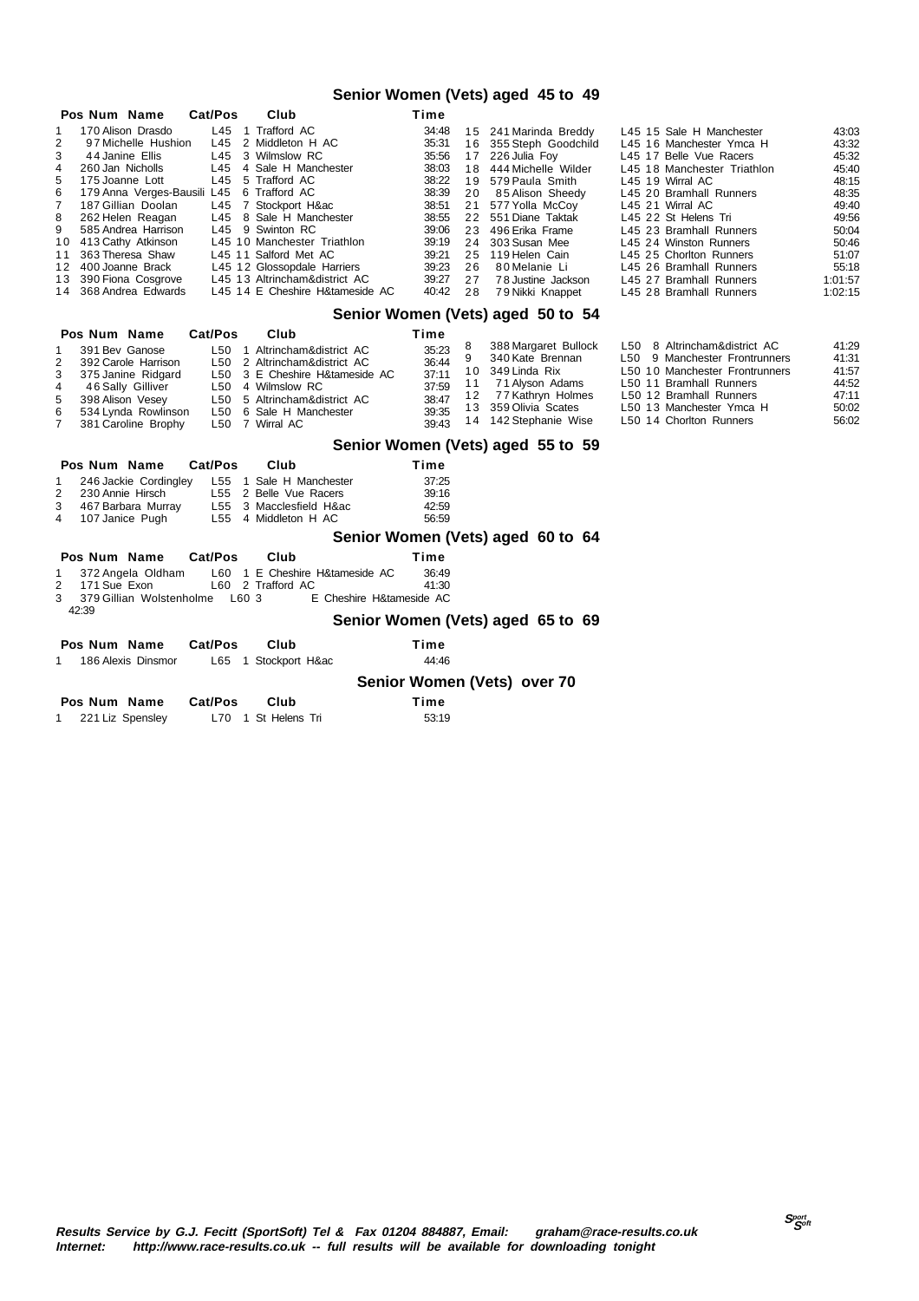### **Senior Women (Vets) aged 45 to 49**

|                                                                                       | Pos Num Name                                                                                                                                                                                                                                                                                                       | Cat/Pos                                | Club                                                                                                                                                                                                                                                                                                                                    | Time                                                                                                                       |                                                                |                                                                                                                                                                                                                                                                                           |                                                                                                                                                                                                                                                                                                                                                                            |                                                                                                                                |
|---------------------------------------------------------------------------------------|--------------------------------------------------------------------------------------------------------------------------------------------------------------------------------------------------------------------------------------------------------------------------------------------------------------------|----------------------------------------|-----------------------------------------------------------------------------------------------------------------------------------------------------------------------------------------------------------------------------------------------------------------------------------------------------------------------------------------|----------------------------------------------------------------------------------------------------------------------------|----------------------------------------------------------------|-------------------------------------------------------------------------------------------------------------------------------------------------------------------------------------------------------------------------------------------------------------------------------------------|----------------------------------------------------------------------------------------------------------------------------------------------------------------------------------------------------------------------------------------------------------------------------------------------------------------------------------------------------------------------------|--------------------------------------------------------------------------------------------------------------------------------|
| 1<br>$\overline{2}$<br>3<br>4<br>5<br>6<br>$\overline{7}$<br>8<br>9<br>10<br>11<br>13 | 170 Alison Drasdo<br>97 Michelle Hushion<br>44 Janine Ellis<br>260 Jan Nicholls<br>175 Joanne Lott<br>179 Anna Verges-Bausili L45<br>187 Gillian Doolan<br>262 Helen Reagan<br>585 Andrea Harrison<br>413 Cathy Atkinson<br>363 Theresa Shaw<br>12 400 Joanne Brack<br>390 Fiona Cosgrove<br>14 368 Andrea Edwards | L45<br>L45<br>L45<br>L45<br>L45<br>L45 | 1 Trafford AC<br>2 Middleton H AC<br>3 Wilmslow RC<br>4 Sale H Manchester<br>5 Trafford AC<br>6 Trafford AC<br>7 Stockport H∾<br>L45 8 Sale H Manchester<br>L45 9 Swinton RC<br>L45 10 Manchester Triathlon<br>L45 11 Salford Met AC<br>L45 12 Glossopdale Harriers<br>L45 13 Altrincham&district AC<br>L45 14 E Cheshire H&tameside AC | 34:48<br>35:31<br>35:56<br>38:03<br>38:22<br>38:39<br>38:51<br>38:55<br>39:06<br>39:19<br>39:21<br>39:23<br>39:27<br>40:42 | 16<br>17<br>18<br>20<br>21<br>23<br>24<br>25<br>26<br>27<br>28 | 15 241 Marinda Breddy<br>355 Steph Goodchild<br>226 Julia Foy<br>444 Michelle Wilder<br>19 579 Paula Smith<br>85 Alison Sheedy<br>577 Yolla McCoy<br>22 551 Diane Taktak<br>496 Erika Frame<br>303 Susan Mee<br>119 Helen Cain<br>80 Melanie Li<br>78 Justine Jackson<br>79 Nikki Knappet | L45 15 Sale H Manchester<br>L45 16 Manchester Ymca H<br>L45 17 Belle Vue Racers<br>L45 18 Manchester Triathlon<br>L45 19 Wirral AC<br>L45 20 Bramhall Runners<br>L45 21 Wirral AC<br>L45 22 St Helens Tri<br>L45 23 Bramhall Runners<br>L45 24 Winston Runners<br>L45 25 Chorlton Runners<br>L45 26 Bramhall Runners<br>L45 27 Bramhall Runners<br>L45 28 Bramhall Runners | 43:03<br>43:32<br>45:32<br>45:40<br>48:15<br>48:35<br>49:40<br>49:56<br>50:04<br>50:46<br>51:07<br>55:18<br>1:01:57<br>1:02:15 |
|                                                                                       |                                                                                                                                                                                                                                                                                                                    |                                        |                                                                                                                                                                                                                                                                                                                                         |                                                                                                                            |                                                                | Senior Women (Vets) aged 50 to 54                                                                                                                                                                                                                                                         |                                                                                                                                                                                                                                                                                                                                                                            |                                                                                                                                |
|                                                                                       | Pos Num Name                                                                                                                                                                                                                                                                                                       | Cat/Pos                                | Club                                                                                                                                                                                                                                                                                                                                    | Time                                                                                                                       |                                                                |                                                                                                                                                                                                                                                                                           |                                                                                                                                                                                                                                                                                                                                                                            |                                                                                                                                |
| 1<br>$\overline{2}$<br>3<br>4<br>5<br>6<br>7                                          | 391 Bev Ganose<br>392 Carole Harrison<br>375 Janine Ridgard<br>46 Sally Gilliver<br>398 Alison Vesey<br>534 Lynda Rowlinson<br>381 Caroline Brophy                                                                                                                                                                 | L50                                    | L50 1 Altrincham&district AC<br>L50 2 Altrincham&district AC<br>L50 3 E Cheshire H&tameside AC<br>L50 4 Wilmslow RC<br>L50 5 Altrincham&district AC<br>6 Sale H Manchester<br>L50 7 Wirral AC                                                                                                                                           | 35:23<br>36:44<br>37:11<br>37:59<br>38:47<br>39:35<br>39:43                                                                | 8<br>9<br>10<br>11<br>12<br>13                                 | 388 Margaret Bullock<br>340 Kate Brennan<br>349 Linda Rix<br>71 Alyson Adams<br>77 Kathryn Holmes<br>359 Olivia Scates<br>14 142 Stephanie Wise                                                                                                                                           | L50 8 Altrincham&district AC<br>L50 9 Manchester Frontrunners<br>L50 10 Manchester Frontrunners<br>L50 11 Bramhall Runners<br>L50 12 Bramhall Runners<br>L50 13 Manchester Ymca H<br>L50 14 Chorlton Runners                                                                                                                                                               | 41:29<br>41:31<br>41:57<br>44.52<br>47:11<br>50:02<br>56:02                                                                    |
|                                                                                       |                                                                                                                                                                                                                                                                                                                    |                                        |                                                                                                                                                                                                                                                                                                                                         |                                                                                                                            |                                                                | Senior Women (Vets) aged 55 to 59                                                                                                                                                                                                                                                         |                                                                                                                                                                                                                                                                                                                                                                            |                                                                                                                                |
|                                                                                       | Pos Num Name                                                                                                                                                                                                                                                                                                       | Cat/Pos                                | Club                                                                                                                                                                                                                                                                                                                                    | Time                                                                                                                       |                                                                |                                                                                                                                                                                                                                                                                           |                                                                                                                                                                                                                                                                                                                                                                            |                                                                                                                                |
| 1<br>$\overline{2}$<br>3<br>4                                                         | 246 Jackie Cordingley<br>230 Annie Hirsch<br>467 Barbara Murray<br>107 Janice Pugh                                                                                                                                                                                                                                 |                                        | L55 1 Sale H Manchester<br>L55 2 Belle Vue Racers<br>L55 3 Macclesfield H∾<br>L55 4 Middleton H AC                                                                                                                                                                                                                                      | 37:25<br>39:16<br>42:59<br>56:59                                                                                           |                                                                |                                                                                                                                                                                                                                                                                           |                                                                                                                                                                                                                                                                                                                                                                            |                                                                                                                                |
|                                                                                       |                                                                                                                                                                                                                                                                                                                    |                                        |                                                                                                                                                                                                                                                                                                                                         |                                                                                                                            |                                                                | Senior Women (Vets) aged 60 to 64                                                                                                                                                                                                                                                         |                                                                                                                                                                                                                                                                                                                                                                            |                                                                                                                                |
|                                                                                       | Pos Num Name                                                                                                                                                                                                                                                                                                       | Cat/Pos                                | Club                                                                                                                                                                                                                                                                                                                                    | Time                                                                                                                       |                                                                |                                                                                                                                                                                                                                                                                           |                                                                                                                                                                                                                                                                                                                                                                            |                                                                                                                                |
| 1<br>2<br>3                                                                           | 372 Angela Oldham<br>171 Sue Exon<br>379 Gillian Wolstenholme L60 3                                                                                                                                                                                                                                                |                                        | L60 1 E Cheshire H&tameside AC<br>L60 2 Trafford AC<br>E Cheshire H&tameside AC                                                                                                                                                                                                                                                         | 36:49<br>41:30                                                                                                             |                                                                |                                                                                                                                                                                                                                                                                           |                                                                                                                                                                                                                                                                                                                                                                            |                                                                                                                                |
|                                                                                       | 42:39                                                                                                                                                                                                                                                                                                              |                                        |                                                                                                                                                                                                                                                                                                                                         |                                                                                                                            |                                                                | Senior Women (Vets) aged 65 to 69                                                                                                                                                                                                                                                         |                                                                                                                                                                                                                                                                                                                                                                            |                                                                                                                                |
|                                                                                       | Pos Num Name                                                                                                                                                                                                                                                                                                       | Cat/Pos                                | Club                                                                                                                                                                                                                                                                                                                                    | Time                                                                                                                       |                                                                |                                                                                                                                                                                                                                                                                           |                                                                                                                                                                                                                                                                                                                                                                            |                                                                                                                                |
| 1                                                                                     | 186 Alexis Dinsmor                                                                                                                                                                                                                                                                                                 |                                        | L65 1 Stockport H∾                                                                                                                                                                                                                                                                                                                      | 44:46                                                                                                                      |                                                                |                                                                                                                                                                                                                                                                                           |                                                                                                                                                                                                                                                                                                                                                                            |                                                                                                                                |
|                                                                                       |                                                                                                                                                                                                                                                                                                                    |                                        |                                                                                                                                                                                                                                                                                                                                         |                                                                                                                            |                                                                | Senior Women (Vets) over 70                                                                                                                                                                                                                                                               |                                                                                                                                                                                                                                                                                                                                                                            |                                                                                                                                |
|                                                                                       | Pos Num Name                                                                                                                                                                                                                                                                                                       | Cat/Pos                                | Club                                                                                                                                                                                                                                                                                                                                    | Time                                                                                                                       |                                                                |                                                                                                                                                                                                                                                                                           |                                                                                                                                                                                                                                                                                                                                                                            |                                                                                                                                |
| $1 \quad$                                                                             | 221 Liz Spensley                                                                                                                                                                                                                                                                                                   |                                        | L70 1 St Helens Tri                                                                                                                                                                                                                                                                                                                     | 53:19                                                                                                                      |                                                                |                                                                                                                                                                                                                                                                                           |                                                                                                                                                                                                                                                                                                                                                                            |                                                                                                                                |
|                                                                                       |                                                                                                                                                                                                                                                                                                                    |                                        |                                                                                                                                                                                                                                                                                                                                         |                                                                                                                            |                                                                |                                                                                                                                                                                                                                                                                           |                                                                                                                                                                                                                                                                                                                                                                            |                                                                                                                                |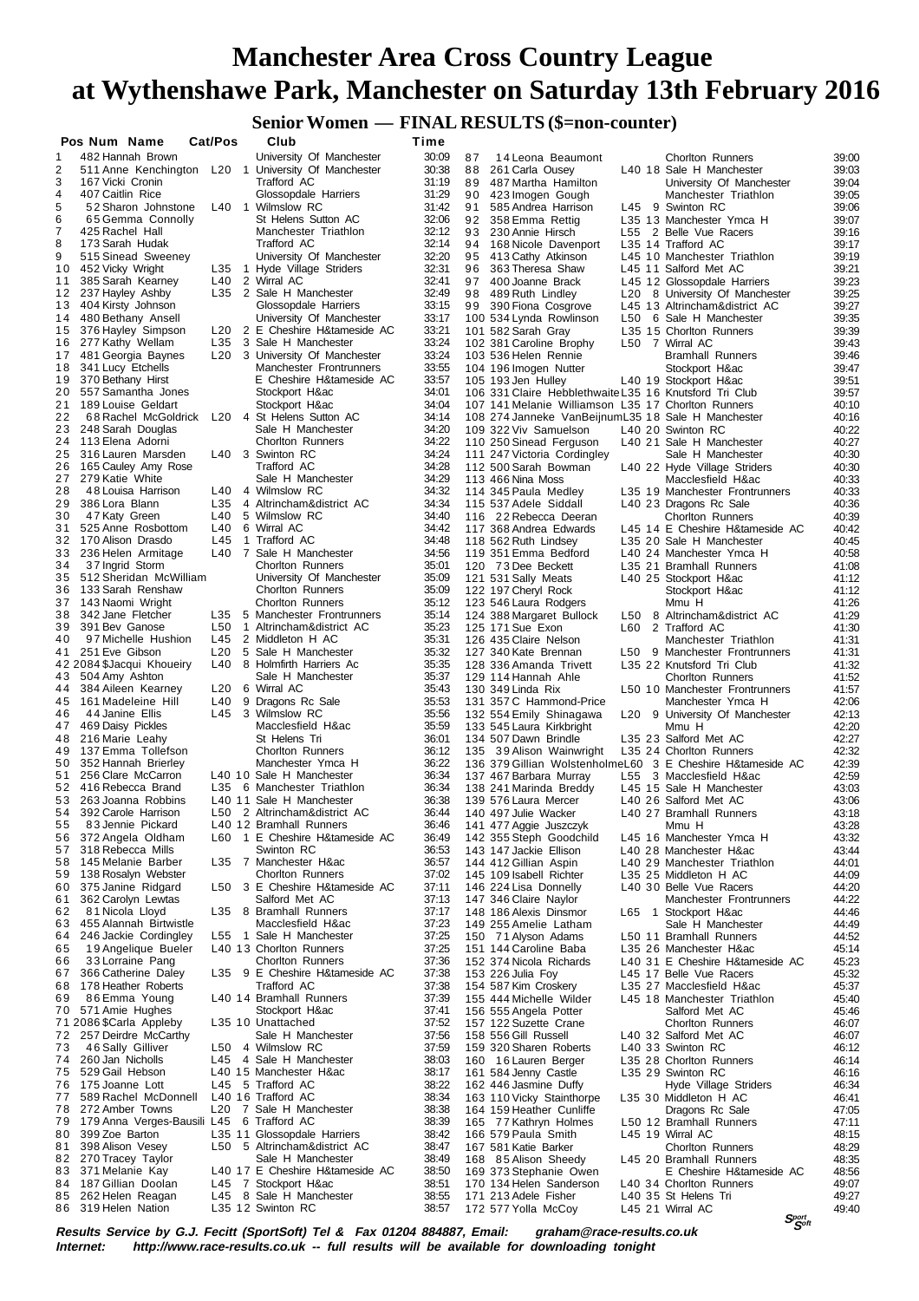### **Senior Women — FINAL RESULTS (\$=non-counter)**

|    | Pos Num Name                              | Cat/Pos |                 |                | Club                                                | Time |       |    |                                                            |     |                                 |                                |
|----|-------------------------------------------|---------|-----------------|----------------|-----------------------------------------------------|------|-------|----|------------------------------------------------------------|-----|---------------------------------|--------------------------------|
| 1  | 482 Hannah Brown                          |         |                 |                | University Of Manchester                            |      | 30:09 | 87 | 14 Leona Beaumont                                          |     | <b>Chorlton Runners</b>         | 39:00                          |
| 2  |                                           |         |                 |                | 511 Anne Kenchington L20 1 University Of Manchester |      | 30:38 | 88 | 261 Carla Ousey                                            |     | L40 18 Sale H Manchester        | 39:03                          |
| 3  | 167 Vicki Cronin                          |         |                 |                | Trafford AC                                         |      | 31:19 | 89 | 487 Martha Hamilton                                        |     | University Of Manchester        | 39:04                          |
| 4  | 407 Caitlin Rice                          |         |                 |                | Glossopdale Harriers                                |      | 31:29 | 90 | 423 Imogen Gough                                           |     | Manchester Triathlon            | 39:05                          |
| 5  | 52 Sharon Johnstone                       |         |                 |                | L40 1 Wilmslow RC                                   |      | 31:42 | 91 | 585 Andrea Harrison                                        |     | L45 9 Swinton RC                | 39:06                          |
| 6  | 65 Gemma Connolly                         |         |                 |                | St Helens Sutton AC                                 |      | 32:06 | 92 | 358 Emma Rettig                                            |     | L35 13 Manchester Ymca H        | 39:07                          |
| 7  | 425 Rachel Hall                           |         |                 |                | Manchester Triathlon                                |      | 32:12 | 93 | 230 Annie Hirsch                                           |     | L55 2 Belle Vue Racers          | 39:16                          |
| 8  |                                           |         |                 |                |                                                     |      | 32:14 |    |                                                            |     |                                 |                                |
|    | 173 Sarah Hudak                           |         |                 |                | Trafford AC                                         |      |       | 94 | 168 Nicole Davenport                                       |     | L35 14 Trafford AC              | 39:17                          |
| 9  | 515 Sinead Sweeney                        |         |                 |                | University Of Manchester                            |      | 32:20 | 95 | 413 Cathy Atkinson                                         |     | L45 10 Manchester Triathlon     | 39:19                          |
| 10 | 452 Vicky Wright                          |         |                 |                | L35 1 Hyde Village Striders                         |      | 32:31 | 96 | 363 Theresa Shaw                                           |     | L45 11 Salford Met AC           | 39:21                          |
| 11 | 385 Sarah Kearney                         |         | L40             |                | 2 Wirral AC                                         |      | 32:41 | 97 | 400 Joanne Brack                                           |     | L45 12 Glossopdale Harriers     | 39:23                          |
| 12 | 237 Hayley Ashby                          |         | L35             |                | 2 Sale H Manchester                                 |      | 32:49 | 98 | 489 Ruth Lindley                                           | L20 | 8 University Of Manchester      | 39:25                          |
| 13 | 404 Kirsty Johnson                        |         |                 |                | Glossopdale Harriers                                |      | 33:15 | 99 | 390 Fiona Cosgrove                                         |     | L45 13 Altrincham&district AC   | 39:27                          |
| 14 | 480 Bethany Ansell                        |         |                 |                | University Of Manchester                            |      | 33:17 |    | 100 534 Lynda Rowlinson                                    | L50 | 6 Sale H Manchester             | 39:35                          |
| 15 | 376 Hayley Simpson                        |         | L20             |                | 2 E Cheshire H&tameside AC                          |      | 33:21 |    | 101 582 Sarah Gray                                         |     | L35 15 Chorlton Runners         | 39:39                          |
| 16 | 277 Kathy Wellam                          |         | L35             |                | 3 Sale H Manchester                                 |      | 33:24 |    | 102 381 Caroline Brophy                                    |     | L50 7 Wirral AC                 | 39:43                          |
| 17 | 481 Georgia Baynes                        |         | L20             |                | 3 University Of Manchester                          |      | 33:24 |    | 103 536 Helen Rennie                                       |     |                                 | 39:46                          |
|    |                                           |         |                 |                |                                                     |      |       |    |                                                            |     | <b>Bramhall Runners</b>         |                                |
| 18 | 341 Lucy Etchells                         |         |                 |                | Manchester Frontrunners                             |      | 33:55 |    | 104 196 Imogen Nutter                                      |     | Stockport H∾                    | 39:47                          |
| 19 | 370 Bethany Hirst                         |         |                 |                | E Cheshire H&tameside AC                            |      | 33:57 |    | 105 193 Jen Hulley                                         |     | L40 19 Stockport H∾             | 39:51                          |
| 20 | 557 Samantha Jones                        |         |                 |                | Stockport H∾                                        |      | 34:01 |    | 106 331 Claire Hebblethwaite L35 16 Knutsford Tri Club     |     |                                 | 39:57                          |
| 21 | 189 Louise Geldart                        |         |                 |                | Stockport H∾                                        |      | 34:04 |    | 107 141 Melanie Williamson L35 17 Chorlton Runners         |     |                                 | 40:10                          |
| 22 | 68 Rachel McGoldrick                      |         |                 |                | L20 4 St Helens Sutton AC                           |      | 34:14 |    | 108 274 Janneke VanBeijnumL35 18 Sale H Manchester         |     |                                 | 40:16                          |
| 23 | 248 Sarah Douglas                         |         |                 |                | Sale H Manchester                                   |      | 34:20 |    | 109 322 Viv Samuelson                                      |     | L40 20 Swinton RC               | 40:22                          |
| 24 | 113 Elena Adorni                          |         |                 |                | Chorlton Runners                                    |      | 34:22 |    | 110 250 Sinead Ferguson                                    |     | L40 21 Sale H Manchester        | 40:27                          |
| 25 | 316 Lauren Marsden                        |         |                 |                | L40 3 Swinton RC                                    |      | 34:24 |    | 111 247 Victoria Cordingley                                |     | Sale H Manchester               | 40:30                          |
| 26 | 165 Cauley Amy Rose                       |         |                 |                | Trafford AC                                         |      | 34:28 |    | 112 500 Sarah Bowman                                       |     | L40 22 Hyde Village Striders    | 40:30                          |
| 27 | 279 Katie White                           |         |                 |                | Sale H Manchester                                   |      | 34:29 |    | 113 466 Nina Moss                                          |     | Macclesfield H∾                 | 40:33                          |
| 28 | 48 Louisa Harrison                        |         | L40             |                | 4 Wilmslow RC                                       |      | 34:32 |    | 114 345 Paula Medley                                       |     | L35 19 Manchester Frontrunners  | 40:33                          |
| 29 | 386 Lora Blann                            |         | L35             |                | 4 Altrincham&district AC                            |      | 34:34 |    | 115 537 Adele Siddall                                      |     | L40 23 Dragons Rc Sale          | 40:36                          |
|    |                                           |         |                 |                | 5 Wilmslow RC                                       |      |       |    |                                                            |     |                                 |                                |
| 30 | 47 Katy Green                             |         | L40             |                |                                                     |      | 34:40 |    | 116 22 Rebecca Deeran                                      |     | <b>Chorlton Runners</b>         | 40:39                          |
| 31 | 525 Anne Rosbottom                        |         | L40             |                | 6 Wirral AC                                         |      | 34:42 |    | 117 368 Andrea Edwards                                     |     | L45 14 E Cheshire H&tameside AC | 40:42                          |
| 32 | 170 Alison Drasdo                         |         | L45             |                | 1 Trafford AC                                       |      | 34:48 |    | 118 562 Ruth Lindsey                                       |     | L35 20 Sale H Manchester        | 40:45                          |
| 33 | 236 Helen Armitage                        |         | L40             |                | 7 Sale H Manchester                                 |      | 34:56 |    | 119 351 Emma Bedford                                       |     | L40 24 Manchester Ymca H        | 40:58                          |
| 34 | 37 Ingrid Storm                           |         |                 |                | <b>Chorlton Runners</b>                             |      | 35:01 |    | 120 73 Dee Beckett                                         |     | L35 21 Bramhall Runners         | 41:08                          |
| 35 | 512 Sheridan McWilliam                    |         |                 |                | University Of Manchester                            |      | 35:09 |    | 121 531 Sally Meats                                        |     | L40 25 Stockport H∾             | 41:12                          |
| 36 | 133 Sarah Renshaw                         |         |                 |                | Chorlton Runners                                    |      | 35:09 |    | 122 197 Cheryl Rock                                        |     | Stockport H∾                    | 41:12                          |
| 37 | 143 Naomi Wright                          |         |                 |                | <b>Chorlton Runners</b>                             |      | 35:12 |    | 123 546 Laura Rodgers                                      |     | Mmu H                           | 41:26                          |
| 38 | 342 Jane Fletcher                         |         |                 |                | L35 5 Manchester Frontrunners                       |      | 35:14 |    | 124 388 Margaret Bullock                                   |     | L50 8 Altrincham&district AC    | 41:29                          |
| 39 | 391 Bev Ganose                            |         | L50             | $\overline{1}$ | Altrincham&district AC                              |      | 35:23 |    | 125 171 Sue Exon                                           | L60 | 2 Trafford AC                   | 41:30                          |
| 40 | 97 Michelle Hushion                       |         | L45             |                | 2 Middleton H AC                                    |      | 35:31 |    | 126 435 Claire Nelson                                      |     | Manchester Triathlon            |                                |
|    |                                           |         |                 |                |                                                     |      |       |    |                                                            |     |                                 | 41:31                          |
| 41 | 251 Eve Gibson                            |         | L <sub>20</sub> |                | 5 Sale H Manchester                                 |      | 35:32 |    | 127 340 Kate Brennan                                       |     | L50 9 Manchester Frontrunners   | 41:31                          |
|    | 42 2084 \$Jacqui Khoueiry                 |         | L40             |                | 8 Holmfirth Harriers Ac                             |      | 35:35 |    | 128 336 Amanda Trivett                                     |     | L35 22 Knutsford Tri Club       | 41:32                          |
| 43 | 504 Amy Ashton                            |         |                 |                | Sale H Manchester                                   |      | 35:37 |    | 129 114 Hannah Ahle                                        |     | <b>Chorlton Runners</b>         | 41:52                          |
| 44 | 384 Aileen Kearney                        |         | L20             |                | 6 Wirral AC                                         |      | 35:43 |    | 130 349 Linda Rix                                          |     | L50 10 Manchester Frontrunners  | 41:57                          |
| 45 | 161 Madeleine Hill                        |         | L40             |                | 9 Dragons Rc Sale                                   |      | 35:53 |    | 131 357 C Hammond-Price                                    |     | Manchester Ymca H               | 42:06                          |
| 46 | 44 Janine Ellis                           |         |                 |                | L45 3 Wilmslow RC                                   |      | 35:56 |    | 132 554 Emily Shinagawa                                    |     | L20 9 University Of Manchester  | 42:13                          |
| 47 | 469 Daisy Pickles                         |         |                 |                | Macclesfield H∾                                     |      | 35:59 |    | 133 545 Laura Kirkbright                                   |     | Mmu H                           | 42:20                          |
| 48 | 216 Marie Leahy                           |         |                 |                | St Helens Tri                                       |      | 36:01 |    | 134 507 Dawn Brindle                                       |     | L35 23 Salford Met AC           | 42:27                          |
| 49 | 137 Emma Tollefson                        |         |                 |                | <b>Chorlton Runners</b>                             |      | 36:12 |    | 135 39 Alison Wainwright                                   |     | L35 24 Chorlton Runners         | 42:32                          |
| 50 | 352 Hannah Brierley                       |         |                 |                | Manchester Ymca H                                   |      | 36:22 |    | 136 379 Gillian WolstenholmeL60 3 E Cheshire H&tameside AC |     |                                 | 42:39                          |
| 51 | 256 Clare McCarron                        |         |                 |                | L40 10 Sale H Manchester                            |      | 36:34 |    |                                                            |     |                                 | 42:59                          |
|    | 416 Rebecca Brand                         |         |                 |                |                                                     |      |       |    | 137 467 Barbara Murray                                     |     | L55 3 Macclesfield H∾           |                                |
| 52 |                                           |         |                 |                | L35 6 Manchester Triathlon                          |      | 36:34 |    | 138 241 Marinda Breddy                                     |     | L45 15 Sale H Manchester        | 43:03                          |
| 53 | 263 Joanna Robbins                        |         |                 |                | L40 11 Sale H Manchester                            |      | 36:38 |    | 139 576 Laura Mercer                                       |     | L40 26 Salford Met AC           | 43:06                          |
| 54 | 392 Carole Harrison                       |         |                 |                | L50 2 Altrincham&district AC                        |      | 36:44 |    | 140 497 Julie Wacker                                       |     | L40 27 Bramhall Runners         | 43:18                          |
| 55 | 83 Jennie Pickard                         |         |                 |                | L40 12 Bramhall Runners                             |      | 36:46 |    | 141 477 Aggie Juszczyk                                     |     | Mmu H                           | 43:28                          |
| 56 | 372 Angela Oldham                         |         | L60             |                | 1 E Cheshire H&tameside AC                          |      | 36:49 |    | 142 355 Steph Goodchild                                    |     | L45 16 Manchester Ymca H        | 43:32                          |
| 57 | 318 Rebecca Mills                         |         |                 |                | Swinton RC                                          |      | 36:53 |    | 143 147 Jackie Ellison                                     |     | L40 28 Manchester H∾            | 43:44                          |
| 58 | 145 Melanie Barber                        |         |                 |                | L35 7 Manchester H∾                                 |      | 36:57 |    | 144 412 Gillian Aspin                                      |     | L40 29 Manchester Triathlon     | 44:01                          |
| 59 | 138 Rosalyn Webster                       |         |                 |                | Chorlton Runners                                    |      | 37:02 |    | 145 109 Isabell Richter                                    |     | L35 25 Middleton H AC           | 44:09                          |
| 60 | 375 Janine Ridgard                        |         |                 |                | L50 3 E Cheshire H&tameside AC                      |      | 37:11 |    | 146 224 Lisa Donnelly                                      |     | L40 30 Belle Vue Racers         | 44:20                          |
| 61 | 362 Carolyn Lewtas                        |         |                 |                | Salford Met AC                                      |      | 37:13 |    | 147 346 Claire Naylor                                      |     | Manchester Frontrunners         | 44:22                          |
| 62 | 81 Nicola Lloyd                           |         |                 |                | L35 8 Bramhall Runners                              |      | 37:17 |    | 148 186 Alexis Dinsmor                                     |     | L65 1 Stockport H∾              | 44:46                          |
| 63 | 455 Alannah Birtwistle                    |         |                 |                | Macclesfield H∾                                     |      | 37:23 |    | 149 255 Amelie Latham                                      |     | Sale H Manchester               | 44:49                          |
| 64 | 246 Jackie Cordingley                     |         |                 |                | L55 1 Sale H Manchester                             |      | 37:25 |    | 150 71 Alyson Adams                                        |     | L50 11 Bramhall Runners         | 44:52                          |
| 65 | 19 Angelique Bueler                       |         |                 |                | L40 13 Chorlton Runners                             |      | 37:25 |    |                                                            |     | L35 26 Manchester H∾            | 45:14                          |
|    |                                           |         |                 |                |                                                     |      |       |    | 151 144 Caroline Baba                                      |     |                                 |                                |
| 66 | 33 Lorraine Pang                          |         |                 |                | Chorlton Runners                                    |      | 37:36 |    | 152 374 Nicola Richards                                    |     | L40 31 E Cheshire H&tameside AC | 45:23                          |
| 67 | 366 Catherine Daley                       |         |                 |                | L35 9 E Cheshire H&tameside AC                      |      | 37:38 |    | 153 226 Julia Foy                                          |     | L45 17 Belle Vue Racers         | 45:32                          |
| 68 | 178 Heather Roberts                       |         |                 |                | Trafford AC                                         |      | 37:38 |    | 154 587 Kim Croskery                                       |     | L35 27 Macclesfield H∾          | 45:37                          |
| 69 | 86 Emma Young                             |         |                 |                | L40 14 Bramhall Runners                             |      | 37:39 |    | 155 444 Michelle Wilder                                    |     | L45 18 Manchester Triathlon     | 45:40                          |
| 70 | 571 Amie Hughes                           |         |                 |                | Stockport H∾                                        |      | 37:41 |    | 156 555 Angela Potter                                      |     | Salford Met AC                  | 45:46                          |
|    | 71 2086 \$Carla Appleby                   |         |                 |                | L35 10 Unattached                                   |      | 37:52 |    | 157 122 Suzette Crane                                      |     | <b>Chorlton Runners</b>         | 46:07                          |
| 72 | 257 Deirdre McCarthy                      |         |                 |                | Sale H Manchester                                   |      | 37:56 |    | 158 556 Gill Russell                                       |     | L40 32 Salford Met AC           | 46:07                          |
| 73 | 46 Sally Gilliver                         |         |                 |                | L50 4 Wilmslow RC                                   |      | 37:59 |    | 159 320 Sharen Roberts                                     |     | L40 33 Swinton RC               | 46:12                          |
| 74 | 260 Jan Nicholls                          |         |                 |                | L45 4 Sale H Manchester                             |      | 38:03 |    | 160 16 Lauren Berger                                       |     | L35 28 Chorlton Runners         | 46:14                          |
| 75 | 529 Gail Hebson                           |         |                 |                | L40 15 Manchester H∾                                |      | 38:17 |    | 161 584 Jenny Castle                                       |     | L35 29 Swinton RC               | 46:16                          |
| 76 | 175 Joanne Lott                           |         | L45             |                | 5 Trafford AC                                       |      | 38:22 |    | 162 446 Jasmine Duffy                                      |     | Hyde Village Striders           | 46:34                          |
| 77 | 589 Rachel McDonnell                      |         |                 |                | L40 16 Trafford AC                                  |      | 38:34 |    |                                                            |     |                                 |                                |
|    |                                           |         |                 |                |                                                     |      |       |    | 163 110 Vicky Stainthorpe                                  |     | L35 30 Middleton H AC           | 46:41                          |
| 78 | 272 Amber Towns                           |         | L <sub>20</sub> |                | 7 Sale H Manchester                                 |      | 38:38 |    | 164 159 Heather Cunliffe                                   |     | Dragons Rc Sale                 | 47:05                          |
| 79 | 179 Anna Verges-Bausili L45 6 Trafford AC |         |                 |                |                                                     |      | 38:39 |    | 165 77 Kathryn Holmes                                      |     | L50 12 Bramhall Runners         | 47:11                          |
| 80 | 399 Zoe Barton                            |         |                 |                | L35 11 Glossopdale Harriers                         |      | 38:42 |    | 166 579 Paula Smith                                        |     | L45 19 Wirral AC                | 48:15                          |
| 81 | 398 Alison Vesey                          |         | L50             |                | 5 Altrincham&district AC                            |      | 38:47 |    | 167 581 Katie Barker                                       |     | <b>Chorlton Runners</b>         | 48:29                          |
| 82 | 270 Tracey Taylor                         |         |                 |                | Sale H Manchester                                   |      | 38:49 |    | 168 85 Alison Sheedy                                       |     | L45 20 Bramhall Runners         | 48:35                          |
| 83 | 371 Melanie Kay                           |         |                 |                | L40 17 E Cheshire H&tameside AC                     |      | 38:50 |    | 169 373 Stephanie Owen                                     |     | E Cheshire H&tameside AC        | 48:56                          |
| 84 | 187 Gillian Doolan                        |         |                 |                | L45 7 Stockport H∾                                  |      | 38:51 |    | 170 134 Helen Sanderson                                    |     | L40 34 Chorlton Runners         | 49:07                          |
| 85 | 262 Helen Reagan                          |         |                 |                | L45 8 Sale H Manchester                             |      | 38:55 |    | 171 213 Adele Fisher                                       |     | L40 35 St Helens Tri            | 49:27                          |
|    | 86 319 Helen Nation                       |         |                 |                | L35 12 Swinton RC                                   |      | 38:57 |    | 172 577 Yolla McCoy                                        |     | L45 21 Wirral AC                | 49:40                          |
|    |                                           |         |                 |                |                                                     |      |       |    |                                                            |     |                                 | $S_{\mathcal{S}^{opt}}^{port}$ |
|    |                                           |         |                 |                |                                                     |      |       |    |                                                            |     |                                 |                                |

**Results Service by G.J. Fecitt (SportSoft) Tel & Fax 01204 884887, Email: graham@race-results.co.uk Internet: http://www.race-results.co.uk -- full results will be available for downloading tonight**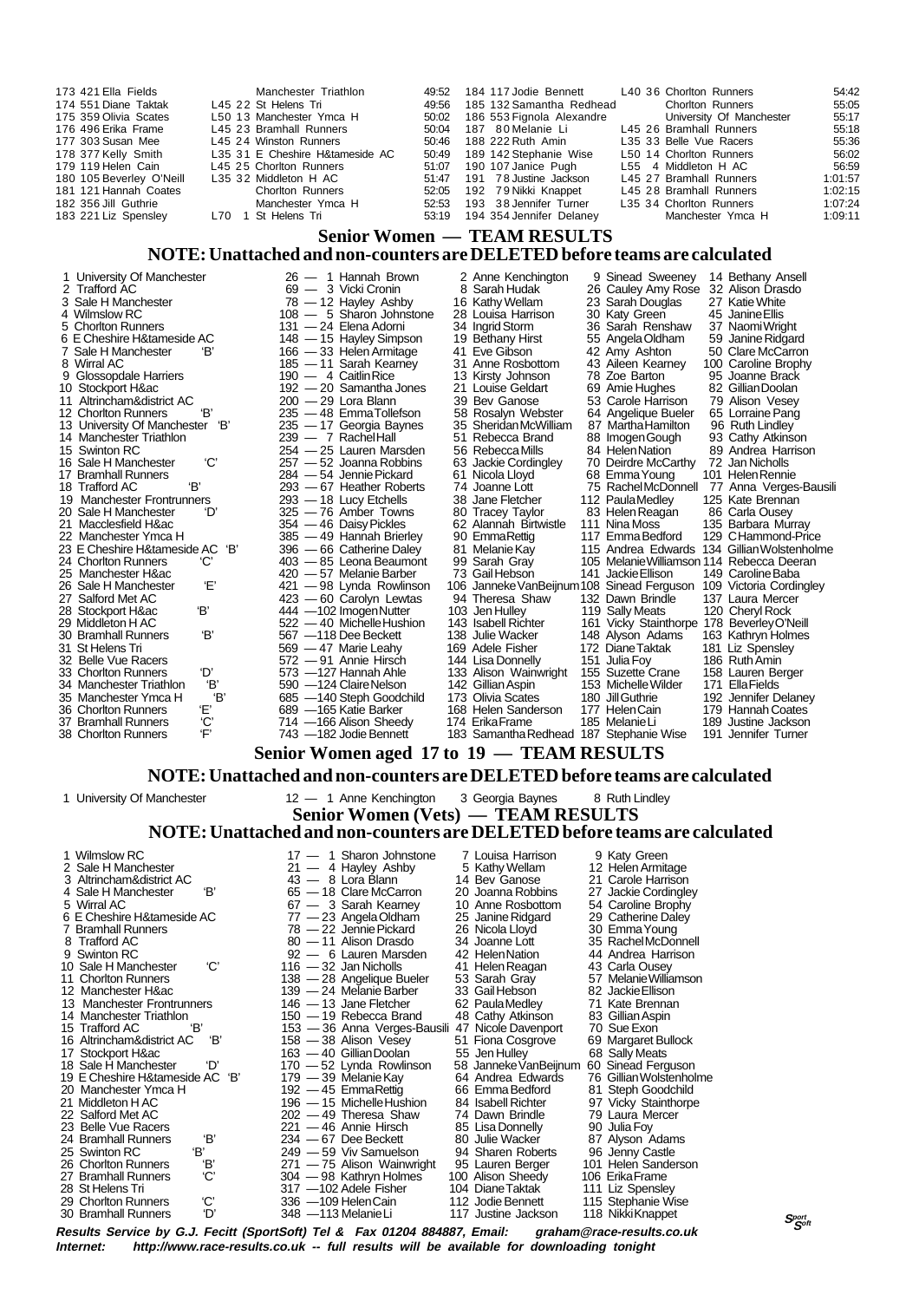| 173 421 Ella Fields                        |          | Manchester Triathlon                                                      | 49:52 |     | 184 117 Jodie Bennett                                              | L40 36 Chorlton Runners                     |                                     | 54:42   |
|--------------------------------------------|----------|---------------------------------------------------------------------------|-------|-----|--------------------------------------------------------------------|---------------------------------------------|-------------------------------------|---------|
| 174 551 Diane Taktak                       |          | L45 22 St Helens Tri                                                      | 49:56 |     | 185 132 Samantha Redhead                                           |                                             | <b>Chorlton Runners</b>             | 55:05   |
| 175 359 Olivia Scates                      |          | L50 13 Manchester Ymca H                                                  | 50:02 |     | 186 553 Fignola Alexandre                                          |                                             | University Of Manchester            | 55:17   |
| 176 496 Erika Frame                        |          | L45 23 Bramhall Runners                                                   | 50:04 |     | 187 80 Melanie Li                                                  | L45 26 Bramhall Runners                     |                                     | 55:18   |
| 177 303 Susan Mee                          |          | L45 24 Winston Runners                                                    | 50:46 |     | 188 222 Ruth Amin                                                  | L35 33 Belle Vue Racers                     |                                     | 55:36   |
|                                            |          |                                                                           |       |     |                                                                    |                                             |                                     |         |
| 178 377 Kelly Smith                        |          | L35 31 E Cheshire H&tameside AC                                           | 50:49 |     | 189 142 Stephanie Wise                                             | L50 14 Chorlton Runners                     |                                     | 56:02   |
| 179 119 Helen Cain                         |          | L45 25 Chorlton Runners                                                   | 51:07 |     | 190 107 Janice Pugh                                                | L55<br>4 Middleton H AC                     |                                     | 56:59   |
| 180 105 Beverley O'Neill                   |          | L35 32 Middleton H AC                                                     | 51:47 | 191 | 78 Justine Jackson                                                 | L45 27 Bramhall Runners                     |                                     | 1:01:57 |
| 181 121 Hannah Coates                      |          | <b>Chorlton Runners</b>                                                   | 52:05 | 192 | 79 Nikki Knappet                                                   | L45 28 Bramhall Runners                     |                                     | 1:02:15 |
| 182 356 Jill Guthrie                       |          | Manchester Ymca H                                                         | 52:53 |     | 193 38 Jennifer Turner                                             | L35 34 Chorlton Runners                     |                                     | 1:07:24 |
| 183 221 Liz Spensley                       | L70      | 1 St Helens Tri                                                           | 53:19 |     | 194 354 Jennifer Delaney                                           |                                             | Manchester Ymca H                   | 1:09:11 |
|                                            |          |                                                                           |       |     |                                                                    |                                             |                                     |         |
|                                            |          |                                                                           |       |     | <b>Senior Women — TEAM RESULTS</b>                                 |                                             |                                     |         |
|                                            |          | NOTE: Unattached and non-counters are DELETED before teams are calculated |       |     |                                                                    |                                             |                                     |         |
|                                            |          |                                                                           |       |     |                                                                    |                                             |                                     |         |
| 1 University Of Manchester                 |          | 26 - 1 Hannah Brown                                                       |       |     | 2 Anne Kenchington                                                 | 9 Sinead Sweenev                            | 14 Bethany Ansell                   |         |
| 2 Trafford AC                              |          | 69 - 3 Vicki Cronin                                                       |       |     | 8 Sarah Hudak                                                      | 26 Cauley Amy Rose                          | 32 Alison Drasdo                    |         |
| 3 Sale H Manchester                        |          | $78 - 12$ Hayley Ashby                                                    |       |     | 16 Kathy Wellam                                                    | 23 Sarah Douglas                            | 27 Katie White                      |         |
| 4 Wilmslow RC                              |          | 108 - 5 Sharon Johnstone                                                  |       |     | 28 Louisa Harrison                                                 | 30 Katy Green                               | 45 Janine Ellis                     |         |
| 5 Chorlton Runners                         |          | 131 - 24 Elena Adorni                                                     |       |     | 34 Ingrid Storm                                                    | 36 Sarah Renshaw                            | 37 Naomi Wright                     |         |
| 6 E Cheshire H&tameside AC                 |          | 148 - 15 Hayley Simpson                                                   |       |     | 19 Bethany Hirst                                                   | 55 Angela Oldham                            | 59 Janine Ridgard                   |         |
| 7 Sale H Manchester                        | Έ        | 166 - 33 Helen Armitage                                                   |       |     | 41 Eve Gibson                                                      | 42 Amy Ashton                               | 50 Clare McCarron                   |         |
| 8 Wirral AC                                |          | 185 - 11 Sarah Kearney                                                    |       |     | 31 Anne Rosbottom                                                  | 43 Aileen Kearney                           | 100 Caroline Brophy                 |         |
| 9 Glossopdale Harriers                     |          | 190 - 4 Caitlin Rice                                                      |       |     | 13 Kirsty Johnson                                                  | 78 Zoe Barton                               | 95 Joanne Brack                     |         |
| 10 Stockport H∾                            |          | 192 - 20 Samantha Jones                                                   |       |     | 21 Louise Geldart                                                  | 69 Amie Hughes                              | 82 Gillian Doolan                   |         |
| 11 Altrincham&district AC                  |          | 200 — 29 Lora Blann                                                       |       |     | 39 Bev Ganose                                                      | 53 Carole Harrison                          | 79 Alison Vesey                     |         |
| 12 Chorlton Runners                        | Έ        | 235 - 48 EmmaTollefson                                                    |       |     |                                                                    |                                             |                                     |         |
| 13 University Of Manchester 'B'            |          | 235 - 17 Georgia Baynes                                                   |       |     | 58 Rosalyn Webster<br>35 SheridanMcWilliam                         | 64 Angelique Bueler                         | 65 Lorraine Pang<br>96 Ruth Lindley |         |
| 14 Manchester Triathlon                    |          |                                                                           |       |     |                                                                    | 87 Martha Hamilton                          |                                     |         |
|                                            |          | 239 - 7 Rachel Hall                                                       |       |     | 51 Rebecca Brand                                                   | 88 Imogen Gough                             | 93 Cathy Atkinson                   |         |
| 15 Swinton RC                              |          | 254 - 25 Lauren Marsden                                                   |       |     | 56 Rebecca Mills                                                   | 84 Helen Nation                             | 89 Andrea Harrison                  |         |
| 16 Sale H Manchester                       | 'C'      | 257 — 52 Joanna Robbins                                                   |       |     | 63 Jackie Cordingley                                               | 70 Deirdre McCarthy                         | 72 Jan Nicholls                     |         |
| 17 Bramhall Runners                        |          | 284 — 54 Jennie Pickard                                                   |       |     | 61 Nicola Lloyd                                                    | 68 Emma Young                               | 101 Helen Rennie                    |         |
| 'B'<br>18 Trafford AC                      |          | 293 - 67 Heather Roberts                                                  |       |     | 74 Joanne Lott                                                     | 75 RachelMcDonnell 77 Anna Verges-Bausili   |                                     |         |
| 19 Manchester Frontrunners                 |          | 293 - 18 Lucy Etchells                                                    |       |     | 38 Jane Fletcher                                                   | 112 Paula Medley                            | 125 Kate Brennan                    |         |
| 20 Sale H Manchester                       | 'D'      | 325 - 76 Amber Towns                                                      |       |     | 80 Tracey Taylor                                                   | 83 Helen Reagan                             | 86 Carla Ousey                      |         |
| 21 Macclesfield H∾                         |          | 354 — 46 Daisy Pickles                                                    |       |     | 62 Alannah Birtwistle                                              | 111 Nina Moss                               | 135 Barbara Murray                  |         |
| 22 Manchester Ymca H                       |          | 385 — 49 Hannah Brierley                                                  |       |     | 90 EmmaRettig                                                      | 117 Emma Bedford                            | 129 CHammond-Price                  |         |
| 23 E Cheshire H&tameside AC 'B'            |          | 396 - 66 Catherine Daley                                                  |       |     | 81 Melanie Kay                                                     | 115 Andrea Edwards 134 Gillian Wolstenholme |                                     |         |
| 24 Chorlton Runners                        | 'С'      | 403 - 85 Leona Beaumont                                                   |       |     | 99 Sarah Gray                                                      | 105 Melanie Williamson 114 Rebecca Deeran   |                                     |         |
| 25 Manchester H∾                           |          | 420 — 57 Melanie Barber                                                   |       |     | 73 Gail Hebson                                                     | 141 Jackie Ellison                          | 149 Caroline Baba                   |         |
| 26 Sale H Manchester                       | Έ        | 421 - 98 Lynda Rowlinson                                                  |       |     | 106 Janneke VanBeijnum 108 Sinead Ferguson 109 Victoria Cordingley |                                             |                                     |         |
| 27 Salford Met AC                          |          | 423 - 60 Carolyn Lewtas                                                   |       |     | 94 Theresa Shaw                                                    | 132 Dawn Brindle                            | 137 Laura Mercer                    |         |
| 28 Stockport H∾<br>Έ                       |          | 444 - 102 Imogen Nutter                                                   |       |     | 103 Jen Hulley                                                     | 119 Sally Meats                             | 120 Cheryl Rock                     |         |
| 29 Middleton H AC                          |          | 522 - 40 Michelle Hushion                                                 |       |     | 143 Isabell Richter                                                | 161 Vicky Stainthorpe 178 Beverley O'Neill  |                                     |         |
| 30 Bramhall Runners                        | Έ        | 567 -118 Dee Beckett                                                      |       |     | 138 Julie Wacker                                                   | 148 Alyson Adams                            | 163 Kathryn Holmes                  |         |
| 31 St Helens Tri                           |          | 569 — 47 Marie Leahy                                                      |       |     | 169 Adele Fisher                                                   | 172 Diane Taktak                            | 181 Liz Spensley                    |         |
| 32 Belle Vue Racers                        |          | 572 - 91 Annie Hirsch                                                     |       |     | 144 Lisa Donnelly                                                  | 151 Julia Foy                               | 186 Ruth Amin                       |         |
| 33 Chorlton Runners                        | 'D'      | 573 - 127 Hannah Ahle                                                     |       |     | 133 Alison Wainwright                                              | 155 Suzette Crane                           | 158 Lauren Berger                   |         |
| 34 Manchester Triathlon                    | Έ        | 590 - 124 Claire Nelson                                                   |       |     | 142 Gillian Aspin                                                  | 153 Michelle Wilder                         | 171 Ella Fields                     |         |
| 35 Manchester Ymca H                       | Έ        | 685 —140 Steph Goodchild                                                  |       |     | 173 Olivia Scates                                                  | 180 Jill Guthrie                            | 192 Jennifer Delaney                |         |
| 36 Chorlton Runners                        | Έ        | 689 - 165 Katie Barker                                                    |       |     | 168 Helen Sanderson                                                | 177 Helen Cain                              | 179 Hannah Coates                   |         |
| 37 Bramhall Runners                        | ic'<br>F | 714 - 166 Alison Sheedy                                                   |       |     | 174 Erika Frame                                                    | 185 Melanie Li                              | 189 Justine Jackson                 |         |
| 38 Chorlton Runners                        |          | 743 - 182 Jodie Bennett                                                   |       |     | 183 Samantha Redhead 187 Stephanie Wise                            |                                             | 191 Jennifer Turner                 |         |
|                                            |          |                                                                           |       |     |                                                                    |                                             |                                     |         |
|                                            |          | Senior Women aged 17 to 19 - TEAM RESULTS                                 |       |     |                                                                    |                                             |                                     |         |
|                                            |          | NOTE: Unattached and non-counters are DELETED before teams are calculated |       |     |                                                                    |                                             |                                     |         |
|                                            |          |                                                                           |       |     |                                                                    |                                             |                                     |         |
| 1 University Of Manchester                 |          | 12 - 1 Anne Kenchington                                                   |       |     | 3 Georgia Baynes                                                   | 8 Ruth Lindley                              |                                     |         |
|                                            |          |                                                                           |       |     | <b>Senior Women (Vets) — TEAM RESULTS</b>                          |                                             |                                     |         |
|                                            |          |                                                                           |       |     |                                                                    |                                             |                                     |         |
|                                            |          | NOTE: Unattached and non-counters are DELETED before teams are calculated |       |     |                                                                    |                                             |                                     |         |
| 1 Wilmslow RC                              |          | 17 - 1 Sharon Johnstone                                                   |       |     | 7 Louisa Harrison                                                  | 9 Katy Green                                |                                     |         |
| 2 Sale H Manchester                        |          | 21 - 4 Hayley Ashby                                                       |       |     |                                                                    |                                             |                                     |         |
| 3 Altrincham&district AC                   |          | 43 - 8 Lora Blann                                                         |       |     | 5 Kathy Wellam<br>14 Bev Ganose                                    | 12 Helen Armitage<br>21 Carole Harrison     |                                     |         |
|                                            | Έ        | 65 - 18 Clare McCarron                                                    |       |     | 20 Joanna Robbins                                                  |                                             |                                     |         |
| 4 Sale H Manchester                        |          | 67 - 3 Sarah Kearney                                                      |       |     | 10 Anne Rosbottom                                                  | 27 Jackie Cordingley                        |                                     |         |
| 5 Wirral AC                                |          |                                                                           |       |     |                                                                    | 54 Caroline Brophy                          |                                     |         |
| 6 E Cheshire H&tameside AC                 |          | 77 — 23 Angela Oldham                                                     |       |     | 25 Janine Ridgard                                                  | 29 Catherine Daley                          |                                     |         |
| 7 Bramhall Runners<br>8 Trafford AC        |          | 78 - 22 Jennie Pickard<br>80 - 11 Alison Drasdo                           |       |     | 26 Nicola Lloyd                                                    | 30 Emma Young                               |                                     |         |
|                                            |          | 92 - 6 Lauren Marsden                                                     |       |     | 34 Joanne Lott                                                     | 35 Rachel McDonnell                         |                                     |         |
| 9 Swinton RC                               |          |                                                                           |       |     | 42 Helen Nation                                                    | 44 Andrea Harrison                          |                                     |         |
| 10 Sale H Manchester                       | 'С'      | $116 - 32$ Jan Nicholls                                                   |       |     | 41 Helen Reagan                                                    | 43 Carla Ousey                              |                                     |         |
| 11 Chorlton Runners                        |          | 138 - 28 Angelique Bueler                                                 |       |     | 53 Sarah Gray                                                      | 57 Melanie Williamson                       |                                     |         |
| 12 Manchester H∾                           |          | 139 - 24 Melanie Barber                                                   |       |     | 33 Gail Hebson                                                     | 82 Jackie Ellison                           |                                     |         |
| 13 Manchester Frontrunners                 |          | 146 - 13 Jane Fletcher                                                    |       |     | 62 Paula Medley                                                    | 71 Kate Brennan                             |                                     |         |
| 14 Manchester Triathlon                    |          | 150 - 19 Rebecca Brand                                                    |       |     | 48 Cathy Atkinson                                                  | 83 Gillian Aspin                            |                                     |         |
| 15 Trafford AC<br>Έ                        |          | 153 - 36 Anna Verges-Bausili 47 Nicole Davenport                          |       |     |                                                                    | 70 Sue Exon                                 |                                     |         |
| 16 Altrincham&district AC                  | 'В'      | 158 — 38 Alison Vesey                                                     |       |     | 51 Fiona Cosgrove                                                  | 69 Margaret Bullock                         |                                     |         |
| 17 Stockport H∾                            |          | 163 - 40 Gillian Doolan                                                   |       |     | 55 Jen Hulley                                                      | 68 Sally Meats                              |                                     |         |
| 18 Sale H Manchester                       | 'D'      | 170 - 52 Lynda Rowlinson                                                  |       |     | 58 Janneke Van Beijnum 60 Sinead Ferguson                          |                                             |                                     |         |
| 19 E Cheshire H&tameside AC 'B'            |          | 179 — 39 Melanie Kay                                                      |       |     | 64 Andrea Edwards                                                  | 76 Gillian Wolstenholme                     |                                     |         |
| 20 Manchester Ymca H<br>21 Middleton H AC  |          | 192 - 45 EmmaRettig                                                       |       |     | 66 Emma Bedford                                                    | 81 Steph Goodchild                          |                                     |         |
|                                            |          | 196 - 15 Michelle Hushion                                                 |       |     | 84 Isabell Richter                                                 | 97 Vicky Stainthorpe                        |                                     |         |
| 22 Salford Met AC                          |          | 202 - 49 Theresa Shaw                                                     |       |     | 74 Dawn Brindle                                                    | 79 Laura Mercer                             |                                     |         |
| 23 Belle Vue Racers                        |          | 221 — 46 Annie Hirsch                                                     |       |     | 85 Lisa Donnelly                                                   | 90 Julia Foy                                |                                     |         |
| 24 Bramhall Runners<br>Έ,<br>25 Swinton RC | Έ,       | $234 - 67$ Dee Beckett<br>249 - 59 Viv Samuelson                          |       |     | 80 Julie Wacker<br>94 Sharen Roberts                               | 87 Alyson Adams                             |                                     |         |
| 26 Chorlton Runners                        | Έ        | 271 - 75 Alison Wainwright                                                |       |     | 95 Lauren Berger                                                   | 96 Jenny Castle<br>101 Helen Sanderson      |                                     |         |
| 27 Bramhall Runners                        | 'С'      | 304 - 98 Kathryn Holmes                                                   |       |     | 100 Alison Sheedy                                                  | 106 Erika Frame                             |                                     |         |
| 28 St Helens Tri                           |          | 317 -102 Adele Fisher                                                     |       |     | 104 Diane Taktak                                                   | 111 Liz Spensley                            |                                     |         |
|                                            |          |                                                                           |       |     |                                                                    |                                             |                                     |         |

**Results Service by G.J. Fecitt (SportSoft) Tel & Fax 01204 884887, Email: graham@race-results.co.uk Internet: http://www.race-results.co.uk -- full results will be available for downloading tonight** 30 Bramhall Runners 'D' 348 —113 Melanie Li 117 Justine Jackson 118 Nikki Knappet

29 Chorlton Runners 'C' 336 —109 Helen Cain 112 Jodie Bennett 115 Stephanie Wise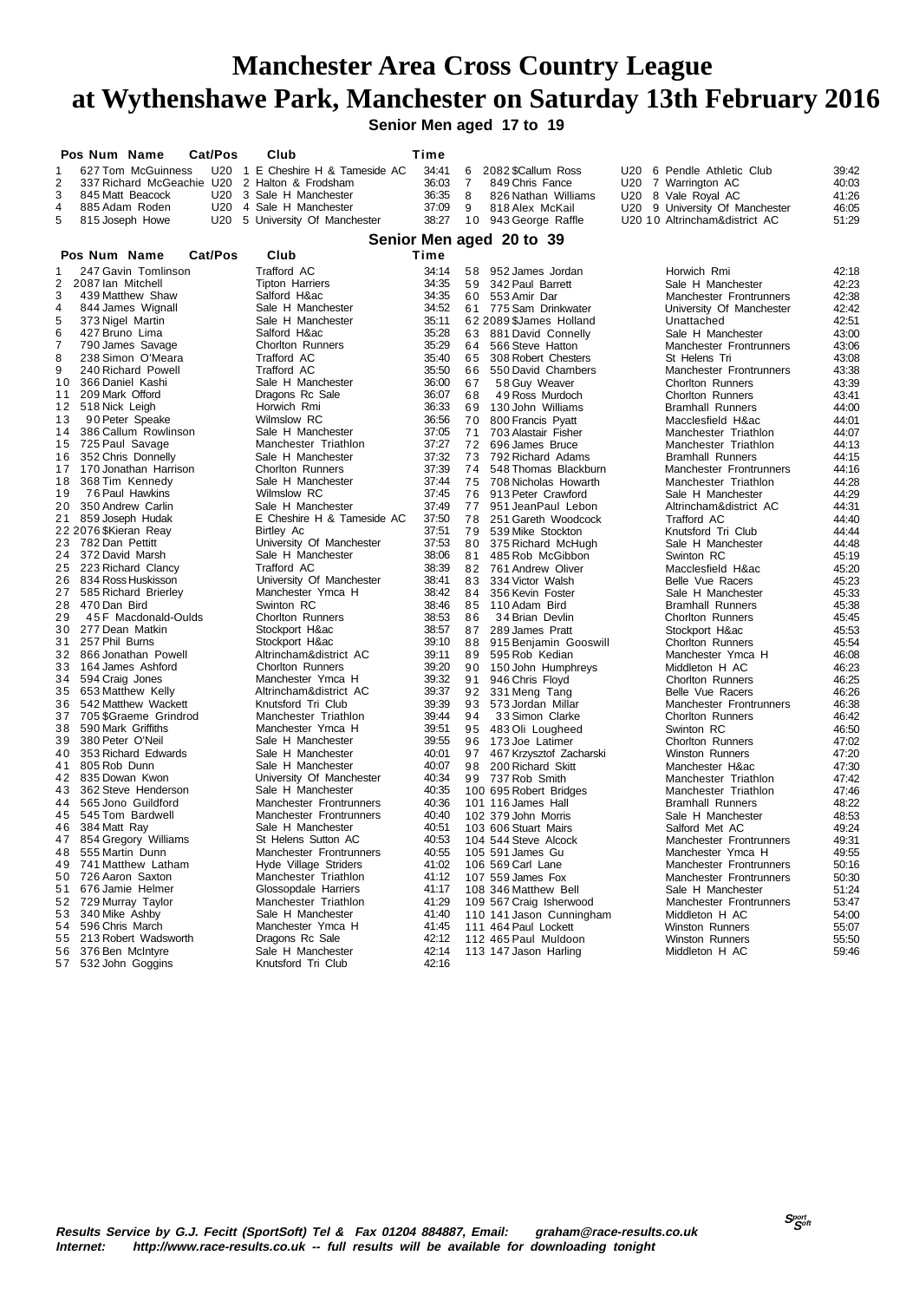**Senior Men aged 17 to 19**

|                     | Pos Num Name                                 |                                                 | Cat/Pos | Club                                       | Time           |                |                                              |                                              |                |
|---------------------|----------------------------------------------|-------------------------------------------------|---------|--------------------------------------------|----------------|----------------|----------------------------------------------|----------------------------------------------|----------------|
| 1                   |                                              | 627 Tom McGuinness                              |         | U20 1 E Cheshire H & Tameside AC           | 34:41          | 6              | 2082 \$Callum Ross                           | U20 6 Pendle Athletic Club                   | 39:42          |
| $\overline{2}$      |                                              | 337 Richard McGeachie U20                       |         | 2 Halton & Frodsham                        | 36:03          | $\overline{7}$ | 849 Chris Fance                              | U20 7 Warrington AC                          | 40:03          |
| 3                   |                                              | 845 Matt Beacock                                | U20     | 3 Sale H Manchester                        | 36:35          | 8              | 826 Nathan Williams                          | U20 8 Vale Royal AC                          | 41:26          |
| 4                   |                                              | 885 Adam Roden                                  |         | U20 4 Sale H Manchester                    | 37:09          | 9              | 818 Alex McKail                              | U20 9 University Of Manchester               | 46:05          |
| 5                   |                                              | 815 Joseph Howe                                 |         | U20 5 University Of Manchester             | 38:27          |                | 10 943 George Raffle                         | U20 10 Altrincham&district AC                | 51:29          |
|                     |                                              |                                                 |         |                                            |                |                | Senior Men aged 20 to 39                     |                                              |                |
|                     | Pos Num Name                                 |                                                 | Cat/Pos | Club                                       | Time           |                |                                              |                                              |                |
|                     |                                              |                                                 |         |                                            |                |                |                                              |                                              |                |
| 1<br>$\overline{2}$ | 2087 Ian Mitchell                            | 247 Gavin Tomlinson                             |         | Trafford AC                                | 34:14<br>34:35 | 58<br>59       | 952 James Jordan                             | Horwich Rmi                                  | 42:18          |
| 3                   |                                              | 439 Matthew Shaw                                |         | <b>Tipton Harriers</b><br>Salford H∾       | 34:35          |                | 342 Paul Barrett<br>60 553 Amir Dar          | Sale H Manchester<br>Manchester Frontrunners | 42:23<br>42:38 |
| $\overline{4}$      |                                              | 844 James Wignall                               |         | Sale H Manchester                          | 34:52          |                | 61 775 Sam Drinkwater                        | University Of Manchester                     | 42:42          |
| 5                   | 373 Nigel Martin                             |                                                 |         | Sale H Manchester                          | 35:11          |                | 62 2089 \$James Holland                      | Unattached                                   | 42:51          |
| 6                   | 427 Bruno Lima                               |                                                 |         | Salford H∾                                 | 35:28          | 63             | 881 David Connelly                           | Sale H Manchester                            | 43:00          |
| $\overline{7}$      |                                              | 790 James Savage                                |         | <b>Chorlton Runners</b>                    | 35:29          | 64             | 566 Steve Hatton                             | Manchester Frontrunners                      | 43:06          |
| 8                   |                                              | 238 Simon O'Meara                               |         | Trafford AC                                | 35:40          | 65             | 308 Robert Chesters                          | St Helens Tri                                | 43:08          |
| 9                   |                                              | 240 Richard Powell                              |         | Trafford AC                                | 35:50          | 66             | 550 David Chambers                           | Manchester Frontrunners                      | 43:38          |
| 10                  | 366 Daniel Kashi                             |                                                 |         | Sale H Manchester                          | 36:00          | 67             | 58 Guy Weaver                                | <b>Chorlton Runners</b>                      | 43:39          |
| 11                  | 209 Mark Offord                              |                                                 |         | Dragons Rc Sale                            | 36:07          | 68             | 49 Ross Murdoch                              | <b>Chorlton Runners</b>                      | 43.41          |
| 12                  | 518 Nick Leigh                               |                                                 |         | Horwich Rmi                                | 36:33          | 69             | 130 John Williams                            | <b>Bramhall Runners</b>                      | 44:00          |
| 13                  |                                              | 90 Peter Speake                                 |         | Wilmslow RC                                | 36:56          | 70             | 800 Francis Pyatt                            | Macclesfield H∾                              | 44.01          |
| 14                  |                                              | 386 Callum Rowlinson                            |         | Sale H Manchester                          | 37:05          | 71             | 703 Alastair Fisher                          | Manchester Triathlon                         | 44:07          |
| 15                  | 725 Paul Savage                              |                                                 |         | Manchester Triathlon                       | 37:27          | 72             | 696 James Bruce                              | Manchester Triathlon                         | 44:13          |
| 16                  |                                              | 352 Chris Donnelly                              |         | Sale H Manchester                          | 37:32          | 73             | 792 Richard Adams                            | <b>Bramhall Runners</b>                      | 44:15          |
|                     |                                              | 17 170 Jonathan Harrison                        |         | <b>Chorlton Runners</b>                    | 37:39          | 74             | 548 Thomas Blackburn                         | Manchester Frontrunners                      | 44:16          |
| 18                  |                                              | 368 Tim Kennedy                                 |         | Sale H Manchester                          | 37:44          | 75             | 708 Nicholas Howarth                         | Manchester Triathlon                         | 44:28          |
| 19                  |                                              | 76 Paul Hawkins                                 |         | Wilmslow RC                                | 37:45          | 76             | 913 Peter Crawford                           | Sale H Manchester                            | 44:29          |
| 20                  |                                              | 350 Andrew Carlin                               |         | Sale H Manchester                          | 37:49          | 77             | 951 JeanPaul Lebon                           | Altrincham&district AC                       | 44:31          |
|                     | 21 859 Joseph Hudak<br>22 2076 \$Kieran Reay |                                                 |         | E Cheshire H & Tameside AC                 | 37:50<br>37:51 | 78<br>79       | 251 Gareth Woodcock                          | Trafford AC                                  | 44:40          |
| 23                  | 782 Dan Pettitt                              |                                                 |         | Birtley Ac<br>University Of Manchester     | 37:53          | 80             | 539 Mike Stockton<br>375 Richard McHugh      | Knutsford Tri Club<br>Sale H Manchester      | 44.44<br>44:48 |
| 24                  | 372 David Marsh                              |                                                 |         | Sale H Manchester                          | 38:06          | 81             | 485 Rob McGibbon                             | Swinton RC                                   | 45:19          |
| 25                  |                                              | 223 Richard Clancy                              |         | Trafford AC                                | 38:39          | 82             | 761 Andrew Oliver                            | Macclesfield H∾                              | 45:20          |
| 26                  |                                              | 834 Ross Huskisson                              |         | University Of Manchester                   | 38:41          | 83             | 334 Victor Walsh                             | Belle Vue Racers                             | 45:23          |
| 27                  |                                              | 585 Richard Brierley                            |         | Manchester Ymca H                          | 38:42          | 84             | 356 Kevin Foster                             | Sale H Manchester                            | 45:33          |
| 28                  | 470 Dan Bird                                 |                                                 |         | Swinton RC                                 | 38:46          | 85             | 110 Adam Bird                                | <b>Bramhall Runners</b>                      | 45:38          |
| 29                  |                                              | 45 F Macdonald-Oulds                            |         | Chorlton Runners                           | 38:53          | 86             | 34 Brian Devlin                              | <b>Chorlton Runners</b>                      | 45:45          |
| 30                  | 277 Dean Matkin                              |                                                 |         | Stockport H∾                               | 38:57          | 87             | 289 James Pratt                              | Stockport H∾                                 | 45.53          |
| 31                  | 257 Phil Burns                               |                                                 |         | Stockport H∾                               | 39:10          | 88             | 915 Benjamin Gooswill                        | <b>Chorlton Runners</b>                      | 45:54          |
|                     |                                              | 32 866 Jonathan Powell                          |         | Altrincham&district AC                     | 39:11          | 89             | 595 Rob Kedian                               | Manchester Ymca H                            | 46:08          |
| 33                  |                                              | 164 James Ashford                               |         | <b>Chorlton Runners</b>                    | 39:20          | 90             | 150 John Humphreys                           | Middleton H AC                               | 46:23          |
|                     | 34 594 Craig Jones                           |                                                 |         | Manchester Ymca H                          | 39:32          | 91             | 946 Chris Floyd                              | <b>Chorlton Runners</b>                      | 46:25          |
| 35                  | 653 Matthew Kelly                            |                                                 |         | Altrincham&district AC                     | 39:37          | 92             | 331 Meng Tang                                | Belle Vue Racers                             | 46:26          |
| 36                  |                                              | 542 Matthew Wackett<br>37 705 \$Graeme Grindrod |         | Knutsford Tri Club<br>Manchester Triathlon | 39:39<br>39:44 | 93<br>94       | 573 Jordan Millar                            | Manchester Frontrunners                      | 46:38          |
| 38                  | 590 Mark Griffiths                           |                                                 |         | Manchester Ymca H                          | 39:51          | 95             | 33 Simon Clarke<br>483 Oli Lougheed          | Chorlton Runners<br>Swinton RC               | 46:42<br>46:50 |
| 39                  | 380 Peter O'Neil                             |                                                 |         | Sale H Manchester                          | 39:55          | 96             | 173 Joe Latimer                              | <b>Chorlton Runners</b>                      | 47:02          |
| 40                  |                                              | 353 Richard Edwards                             |         | Sale H Manchester                          | 40:01          | 97             | 467 Krzysztof Zacharski                      | <b>Winston Runners</b>                       | 47:20          |
| 41                  | 805 Rob Dunn                                 |                                                 |         | Sale H Manchester                          | 40:07          | 98             | 200 Richard Skitt                            | Manchester H∾                                | 47:30          |
|                     | 42 835 Dowan Kwon                            |                                                 |         | University Of Manchester                   | 40:34          | 99             | 737 Rob Smith                                | Manchester Triathlon                         | 47:42          |
| 43                  |                                              | 362 Steve Henderson                             |         | Sale H Manchester                          | 40:35          |                | 100 695 Robert Bridges                       | Manchester Triathlon                         | 47:46          |
|                     |                                              | 44 565 Jono Guildford                           |         | Manchester Frontrunners                    | 40:36          |                | 101 116 James Hall                           | <b>Bramhall Runners</b>                      | 48:22          |
| 45                  | 545 Tom Bardwell                             |                                                 |         | Manchester Frontrunners                    | 40:40          |                | 102 379 John Morris                          | Sale H Manchester                            | 48.53          |
| 46                  | 384 Matt Ray                                 |                                                 |         | Sale H Manchester                          | 40:51          |                | 103 606 Stuart Mairs                         | Salford Met AC                               | 49:24          |
|                     |                                              | 47 854 Gregory Williams                         |         | St Helens Sutton AC                        | 40:53          |                | 104 544 Steve Alcock                         | Manchester Frontrunners                      | 49:31          |
| 48                  | 555 Martin Dunn                              |                                                 |         | Manchester Frontrunners                    | 40:55          |                | 105 591 James Gu                             | Manchester Ymca H                            | 49:55          |
| 49                  |                                              | 741 Matthew Latham                              |         | Hyde Village Striders                      | 41:02          |                | 106 569 Carl Lane                            | Manchester Frontrunners                      | 50:16          |
|                     | 50 726 Aaron Saxton                          |                                                 |         | Manchester Triathlon                       | 41:12          |                | 107 559 James Fox                            | Manchester Frontrunners                      | 50:30          |
|                     | 51 676 Jamie Helmer                          |                                                 |         | Glossopdale Harriers                       | 41:17          |                | 108 346 Matthew Bell                         | Sale H Manchester                            | 51:24          |
|                     | 52 729 Murray Taylor                         |                                                 |         | Manchester Triathlon<br>Sale H Manchester  | 41:29          |                | 109 567 Craig Isherwood                      | Manchester Frontrunners                      | 53:47          |
|                     | 53 340 Mike Ashby<br>54 596 Chris March      |                                                 |         | Manchester Ymca H                          | 41:40<br>41:45 |                | 110 141 Jason Cunningham                     | Middleton H AC<br>Winston Runners            | 54:00<br>55:07 |
|                     |                                              | 55 213 Robert Wadsworth                         |         | Dragons Rc Sale                            | 42:12          |                | 111 464 Paul Lockett<br>112 465 Paul Muldoon | Winston Runners                              | 55:50          |
| 56                  | 376 Ben McIntyre                             |                                                 |         | Sale H Manchester                          | 42:14          |                | 113 147 Jason Harling                        | Middleton H AC                               | 59:46          |
|                     | 57 532 John Goggins                          |                                                 |         | Knutsford Tri Club                         | 42:16          |                |                                              |                                              |                |
|                     |                                              |                                                 |         |                                            |                |                |                                              |                                              |                |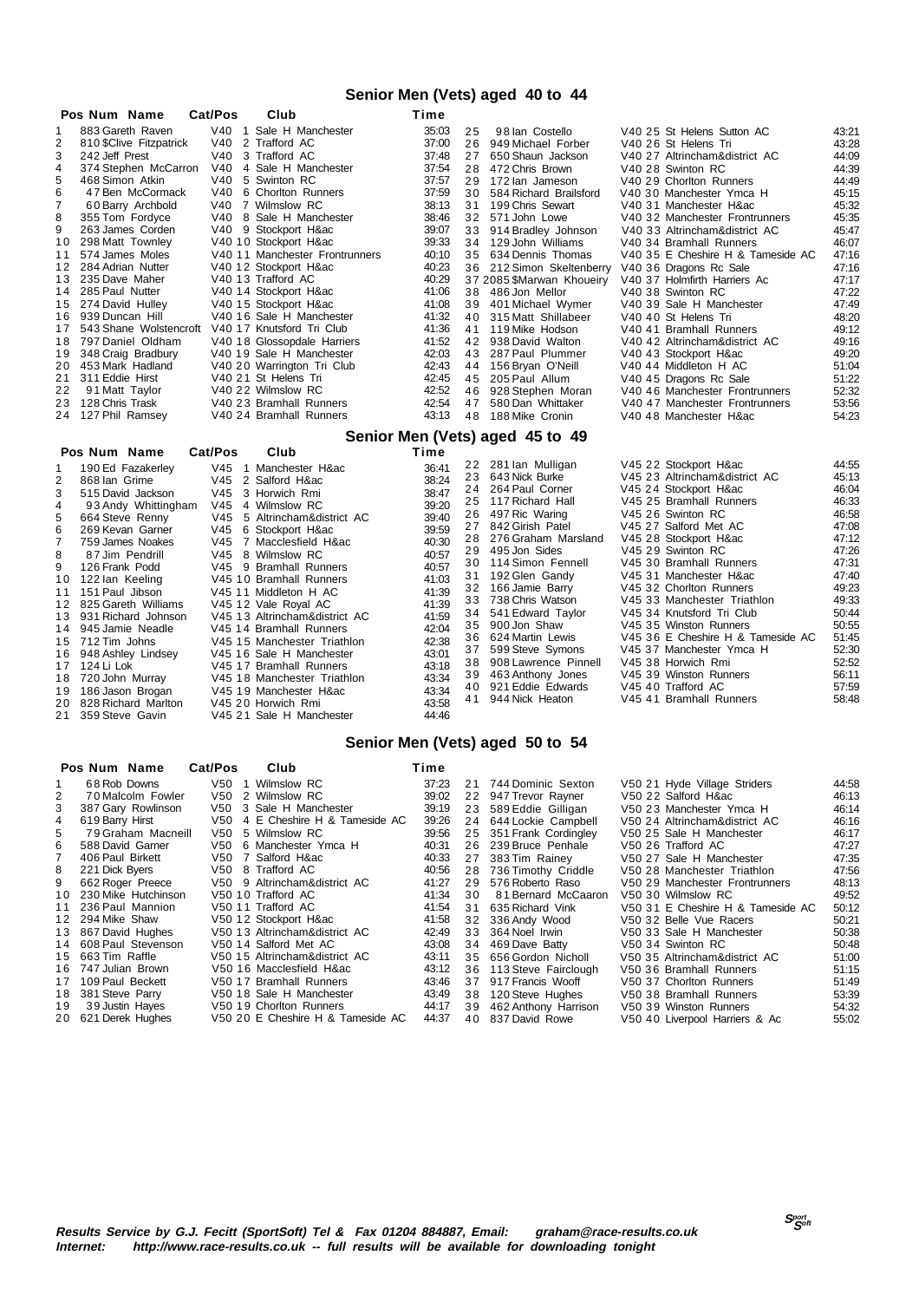### **Senior Men (Vets) aged 40 to 44**

|                | Pos Num Name                           | Cat/Pos         | Club                                                  | Time           |    |                                 |                                   |       |
|----------------|----------------------------------------|-----------------|-------------------------------------------------------|----------------|----|---------------------------------|-----------------------------------|-------|
| 1              | 883 Gareth Raven                       |                 | V40 1 Sale H Manchester                               | 35:03          | 25 | 98 Ian Costello                 | V40 25 St Helens Sutton AC        | 43:21 |
| $\overline{2}$ | 810 \$Clive Fitzpatrick                | V40             | 2 Trafford AC                                         | 37:00          | 26 | 949 Michael Forber              | V40 26 St Helens Tri              | 43:28 |
| 3              | 242 Jeff Prest                         | V40             | 3 Trafford AC                                         | 37:48          | 27 | 650 Shaun Jackson               | V40 27 Altrincham&district AC     | 44:09 |
| 4              | 374 Stephen McCarron                   | V40             | 4 Sale H Manchester                                   | 37:54          |    | 28 472 Chris Brown              | V40 28 Swinton RC                 | 44:39 |
| 5              | 468 Simon Atkin                        | V40             | 5 Swinton RC                                          | 37:57          | 29 | 172 lan Jameson                 | V40 29 Chorlton Runners           | 44:49 |
| 6              | 47 Ben McCormack                       |                 | V40 6 Chorlton Runners                                | 37:59          |    | 30 584 Richard Brailsford       | V40 30 Manchester Ymca H          | 45:15 |
| 7              | 60 Barry Archbold                      |                 | V40 7 Wilmslow RC                                     | 38:13          |    | 31 199 Chris Sewart             | V40 31 Manchester H∾              | 45:32 |
| 8              | 355 Tom Fordyce                        |                 | V40 8 Sale H Manchester                               | 38:46          |    | 32 571 John Lowe                | V40 32 Manchester Frontrunners    | 45:35 |
| 9              | 263 James Corden                       |                 | V40 9 Stockport H∾                                    | 39:07          |    | 33 914 Bradlev Johnson          | V40 33 Altrincham&district AC     | 45:47 |
| 10             | 298 Matt Townley                       |                 | V40 10 Stockport H∾                                   | 39:33          |    | 34 129 John Williams            | V40 34 Bramhall Runners           | 46:07 |
| 11             | 574 James Moles                        |                 | V40 11 Manchester Frontrunners                        | 40:10          | 35 | 634 Dennis Thomas               | V40 35 E Cheshire H & Tameside AC | 47:16 |
| 12             | 284 Adrian Nutter                      |                 | V40 12 Stockport H∾                                   | 40:23          |    | 36 212 Simon Skeltenberry       | V40 36 Dragons Rc Sale            | 47:16 |
| 13             | 235 Dave Maher                         |                 | V40 13 Trafford AC                                    | 40:29          |    | 37 2085 \$Marwan Khoueiry       | V40 37 Holmfirth Harriers Ac      | 47:17 |
| 14             | 285 Paul Nutter                        |                 | V40 14 Stockport H∾                                   | 41:06          |    | 38 486 Jon Mellor               | V40 38 Swinton RC                 | 47:22 |
| 15             | 274 David Hulley                       |                 | V40 15 Stockport H∾                                   | 41:08          |    | 39 401 Michael Wymer            | V40 39 Sale H Manchester          | 47:49 |
| 16.            | 939 Duncan Hill                        |                 | V40 16 Sale H Manchester                              | 41:32          | 40 | 315 Matt Shillabeer             | V40 40 St Helens Tri              | 48:20 |
|                | 17 543 Shane Wolstencroft              |                 | V40 17 Knutsford Tri Club                             | 41:36          |    | 41 119 Mike Hodson              | V40 41 Bramhall Runners           | 49:12 |
|                | 18 797 Daniel Oldham                   |                 | V40 18 Glossopdale Harriers                           | 41:52          |    | 42 938 David Walton             | V40 42 Altrincham&district AC     | 49:16 |
| 19             | 348 Craig Bradbury                     |                 | V40 19 Sale H Manchester                              | 42:03          |    | 43 287 Paul Plummer             | V40 43 Stockport H∾               | 49:20 |
| 20             | 453 Mark Hadland                       |                 | V40 20 Warrington Tri Club                            | 42:43          |    | 44 156 Bryan O'Neill            | V40 44 Middleton H AC             | 51:04 |
| 21             | 311 Eddie Hirst                        |                 | V40 21 St Helens Tri                                  | 42:45          |    | 45 205 Paul Allum               | V40 45 Dragons Rc Sale            | 51:22 |
| 22             | 91 Matt Taylor                         |                 | V40 22 Wilmslow RC                                    | 42:52          | 46 | 928 Stephen Moran               | V40 46 Manchester Frontrunners    | 52:32 |
| 23             | 128 Chris Trask                        |                 | V40 23 Bramhall Runners                               | 42:54          | 47 | 580 Dan Whittaker               | V40 47 Manchester Frontrunners    | 53:56 |
|                |                                        |                 |                                                       | 43:13          |    |                                 | V40 48 Manchester H∾              | 54:23 |
|                | 24 127 Phil Ramsey                     |                 | V40 24 Bramhall Runners                               |                | 48 | 188 Mike Cronin                 |                                   |       |
|                |                                        |                 |                                                       |                |    |                                 |                                   |       |
|                | Pos Num Name                           | Cat/Pos         | Club                                                  | Time           |    | Senior Men (Vets) aged 45 to 49 |                                   |       |
| 1              |                                        |                 | V45 1 Manchester H∾                                   | 36:41          |    | 22 281 Ian Mulligan             | V45 22 Stockport H∾               | 44:55 |
| 2              | 190 Ed Fazakerley<br>868 Ian Grime     | V <sub>45</sub> | 2 Salford H∾                                          |                | 23 | 643 Nick Burke                  | V45 23 Altrincham&district AC     | 45:13 |
| 3              | 515 David Jackson                      | V45             |                                                       | 38:24          | 24 | 264 Paul Corner                 | V45 24 Stockport H∾               | 46:04 |
| $\overline{4}$ |                                        |                 | 3 Horwich Rmi<br>V45 4 Wilmslow RC                    | 38:47          | 25 | 117 Richard Hall                | V45 25 Bramhall Runners           | 46:33 |
|                | 93 Andy Whittingham                    | V45             |                                                       | 39:20          | 26 | 497 Ric Waring                  | V45 26 Swinton RC                 | 46:58 |
| 5<br>6         | 664 Steve Renny<br>269 Kevan Garner    | V45             | 5 Altrincham&district AC                              | 39:40          | 27 | 842 Girish Patel                | V45 27 Salford Met AC             | 47:08 |
| $\overline{7}$ | 759 James Noakes                       | V45             | 6 Stockport H∾<br>7 Macclesfield H∾                   | 39:59<br>40:30 | 28 | 276 Graham Marsland             | V45 28 Stockport H∾               | 47:12 |
| 8              | 87 Jim Pendrill                        | V45             | 8 Wilmslow RC                                         |                |    | 29 495 Jon Sides                | V45 29 Swinton RC                 | 47:26 |
| 9              | 126 Frank Podd                         | V45             | 9 Bramhall Runners                                    | 40:57<br>40:57 |    | 30 114 Simon Fennell            | V45 30 Bramhall Runners           | 47:31 |
| 10             |                                        |                 | V45 10 Bramhall Runners                               | 41:03          | 31 | 192 Glen Gandy                  | V45 31 Manchester H∾              | 47:40 |
| 11             | 122 lan Keeling                        |                 |                                                       |                |    | 32 166 Jamie Barry              | V45 32 Chorlton Runners           | 49:23 |
| 12             | 151 Paul Jibson<br>825 Gareth Williams |                 | V45 11 Middleton H AC                                 | 41:39<br>41:39 | 33 | 738 Chris Watson                | V45 33 Manchester Triathlon       | 49:33 |
| 13             | 931 Richard Johnson                    |                 | V45 12 Vale Royal AC<br>V45 13 Altrincham&district AC | 41:59          | 34 | 541 Edward Taylor               | V45 34 Knutsford Tri Club         | 50:44 |
| 14             | 945 Jamie Neadle                       |                 | V45 14 Bramhall Runners                               | 42:04          | 35 | 900 Jon Shaw                    | V45 35 Winston Runners            | 50:55 |
|                | 15 712 Tim Johns                       |                 | V45 15 Manchester Triathlon                           | 42:38          | 36 | 624 Martin Lewis                | V45 36 E Cheshire H & Tameside AC | 51:45 |
| 16             | 948 Ashley Lindsey                     |                 | V45 16 Sale H Manchester                              | 43:01          | 37 | 599 Steve Symons                | V45 37 Manchester Ymca H          | 52:30 |
|                | 17 124 Li Lok                          |                 | V45 17 Bramhall Runners                               | 43:18          | 38 | 908 Lawrence Pinnell            | V45 38 Horwich Rmi                | 52:52 |
| 18             | 720 John Murray                        |                 | V45 18 Manchester Triathlon                           | 43:34          | 39 | 463 Anthony Jones               | V45 39 Winston Runners            | 56:11 |
| 19             | 186 Jason Brogan                       |                 | V45 19 Manchester H∾                                  | 43:34          | 40 | 921 Eddie Edwards               | V45 40 Trafford AC                | 57:59 |
| 20             | 828 Richard Marlton                    |                 | V45 20 Horwich Rmi                                    | 43:58          | 41 | 944 Nick Heaton                 | V45 41 Bramhall Runners           | 58:48 |
| 21             | 359 Steve Gavin                        |                 | V45 21 Sale H Manchester                              | 44:46          |    |                                 |                                   |       |

#### **Senior Men (Vets) aged 50 to 54**

|                | Pos Num Name           | Cat/Pos | Club                              | Time  |    |                         |                                   |       |
|----------------|------------------------|---------|-----------------------------------|-------|----|-------------------------|-----------------------------------|-------|
| 1              | 68 Rob Downs           |         | V50 1 Wilmslow RC                 | 37:23 |    | 21 744 Dominic Sexton   | V50 21 Hyde Village Striders      | 44:58 |
| $\overline{2}$ | 70 Malcolm Fowler      |         | V50 2 Wilmslow RC                 | 39:02 |    | 22 947 Trevor Ravner    | V50 22 Salford H∾                 | 46:13 |
| 3              | 387 Gary Rowlinson     |         | V50 3 Sale H Manchester           | 39:19 |    | 23 589 Eddie Gilligan   | V50 23 Manchester Ymca H          | 46:14 |
| 4              | 619 Barry Hirst        |         | V50 4 E Cheshire H & Tameside AC  | 39:26 |    | 24 644 Lockie Campbell  | V50 24 Altrincham&district AC     | 46:16 |
| 5              | 79 Graham Macneill     |         | V50 5 Wilmslow RC                 | 39.56 |    | 25 351 Frank Cordingley | V50 25 Sale H Manchester          | 46:17 |
| 6              | 588 David Garner       |         | V50 6 Manchester Ymca H           | 40:31 |    | 26 239 Bruce Penhale    | V50 26 Trafford AC                | 47:27 |
| $\overline{7}$ | 406 Paul Birkett       |         | V50 7 Salford H∾                  | 40:33 |    | 27 383 Tim Rainey       | V50 27 Sale H Manchester          | 47:35 |
| 8              | 221 Dick Bvers         |         | V50 8 Trafford AC                 | 40:56 |    | 28 736 Timothy Criddle  | V50 28 Manchester Triathlon       | 47:56 |
| 9              | 662 Roger Preece       |         | V50 9 Altrincham&district AC      | 41:27 |    | 29 576 Roberto Raso     | V50 29 Manchester Frontrunners    | 48:13 |
|                | 10 230 Mike Hutchinson |         | V <sub>50</sub> 10 Trafford AC    | 41:34 | 30 | 81 Bernard McCaaron     | V <sub>50</sub> 30 Wilmslow RC    | 49:52 |
|                | 11 236 Paul Mannion    |         | V50 11 Trafford AC                | 41:54 |    | 31 635 Richard Vink     | V50 31 E Cheshire H & Tameside AC | 50:12 |
|                | 12 294 Mike Shaw       |         | V50 12 Stockport H∾               | 41:58 |    | 32 336 Andy Wood        | V50 32 Belle Vue Racers           | 50:21 |
|                | 13 867 David Hughes    |         | V50 13 Altrincham&district AC     | 42:49 |    | 33 364 Noel Irwin       | V50 33 Sale H Manchester          | 50:38 |
|                | 14 608 Paul Stevenson  |         | V50 14 Salford Met AC             | 43:08 |    | 34 469 Dave Batty       | V50 34 Swinton RC                 | 50:48 |
|                | 15 663 Tim Raffle      |         | V50 15 Altrincham&district AC     | 43:11 |    | 35 656 Gordon Nicholl   | V50 35 Altrincham&district AC     | 51:00 |
|                | 16 747 Julian Brown    |         | V50 16 Macclesfield H∾            | 43:12 |    | 36 113 Steve Fairclough | V50 36 Bramhall Runners           | 51:15 |
|                | 17 109 Paul Beckett    |         | V50 17 Bramhall Runners           | 43:46 |    | 37 917 Francis Wooff    | V50 37 Chorlton Runners           | 51.49 |
|                | 18 381 Steve Parry     |         | V50 18 Sale H Manchester          | 43:49 |    | 38 120 Steve Hughes     | V50 38 Bramhall Runners           | 53:39 |
|                | 19 39 Justin Hayes     |         | V50 19 Chorlton Runners           | 44:17 |    | 39 462 Anthony Harrison | V50 39 Winston Runners            | 54:32 |
|                | 20 621 Derek Hughes    |         | V50 20 E Cheshire H & Tameside AC | 44:37 |    | 40 837 David Rowe       | V50 40 Liverpool Harriers & Ac    | 55:02 |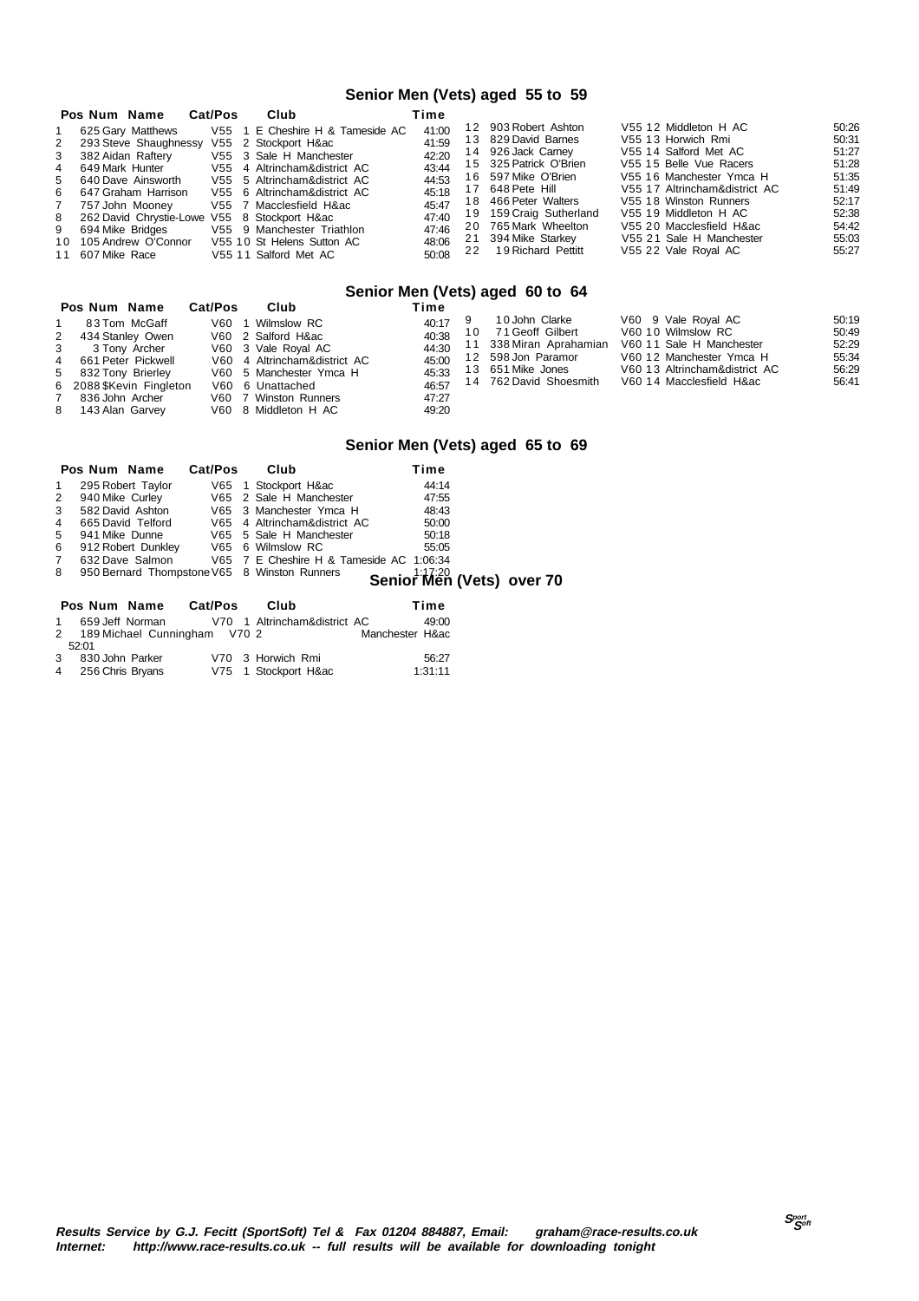#### **Senior Men (Vets) aged 55 to 59**

|   | Pos Num Name                                 | Cat/Pos | Club                             | Time  |    |                         |                               |       |
|---|----------------------------------------------|---------|----------------------------------|-------|----|-------------------------|-------------------------------|-------|
|   | 625 Gary Matthews                            |         | V55 1 E Cheshire H & Tameside AC | 41:00 |    | 12 903 Robert Ashton    | V55 12 Middleton H AC         | 50:26 |
|   | 2 293 Steve Shaughnessy V55 2 Stockport H∾   |         |                                  | 41:59 |    | 13 829 David Barnes     | V55 13 Horwich Rmi            | 50:31 |
|   | 3 382 Aidan Raftery                          |         | V55 3 Sale H Manchester          | 42:20 |    | 14 926 Jack Carney      | V55 14 Salford Met AC         | 51:27 |
| 4 | 649 Mark Hunter                              |         | V55 4 Altrincham&district AC     | 43:44 |    | 15 325 Patrick O'Brien  | V55 15 Belle Vue Racers       | 51:28 |
|   | 5 640 Dave Ainsworth                         |         | V55 5 Altrincham&district AC     | 44:53 |    | 16 597 Mike O'Brien     | V55 16 Manchester Ymca H      | 51:35 |
|   | 6 647 Graham Harrison                        |         | V55 6 Altrincham&district AC     | 45:18 |    | 17 648 Pete Hill        | V55 17 Altrincham&district AC | 51.49 |
|   | 7 757 John Moonev                            |         | V55 7 Macclesfield H∾            | 45:47 |    | 18 466 Peter Walters    | V55 18 Winston Runners        | 52:17 |
|   | 8 262 David Chrystie-Lowe V55 8 Stockport H∾ |         |                                  | 47:40 |    | 19 159 Craig Sutherland | V55 19 Middleton H AC         | 52:38 |
|   | 9 694 Mike Bridges                           |         | V55 9 Manchester Triathlon       | 47:46 |    | 20 765 Mark Wheelton    | V55 20 Macclesfield H∾        | 54:42 |
|   | 10 105 Andrew O'Connor                       |         | V55 10 St Helens Sutton AC       | 48:06 |    | 21 394 Mike Starkey     | V55 21 Sale H Manchester      | 55.03 |
|   | 11 607 Mike Race                             |         | V55 11 Salford Met AC            | 50:08 | 22 | 19 Richard Pettitt      | V55 22 Vale Royal AC          | 55:27 |

### **Senior Men (Vets) aged 60 to 64**

| Pos Num Name             | Cat/Pos | Club                         | Time  |  |                         |                               |       |  |  |
|--------------------------|---------|------------------------------|-------|--|-------------------------|-------------------------------|-------|--|--|
| 83 Tom McGaff            |         | V60 1 Wilmslow RC            | 40:17 |  | 10 John Clarke          | V60 9 Vale Royal AC           | 50:19 |  |  |
| 2 434 Stanley Owen       |         | V60 2 Salford H∾             | 40:38 |  | 10 71 Geoff Gilbert     | V60 10 Wilmslow RC            | 50.49 |  |  |
| 3<br>3 Tony Archer       |         | V60 3 Vale Royal AC          | 44:30 |  | 11 338 Miran Aprahamian | V60 11 Sale H Manchester      | 52:29 |  |  |
| 4 661 Peter Pickwell     |         | V60 4 Altrincham&district AC | 45:00 |  | 12 598 Jon Paramor      | V60 12 Manchester Ymca H      | 55:34 |  |  |
| 5 832 Tony Brierley      |         | V60 5 Manchester Ymca H      | 45:33 |  | 13 651 Mike Jones       | V60 13 Altrincham&district AC | 56.29 |  |  |
| 6 2088 \$Kevin Fingleton |         | V60 6 Unattached             | 46:57 |  | 14 762 David Shoesmith  | V60 14 Macclesfield H∾        | 56.41 |  |  |
| 7 836 John Archer        |         | V60 7 Winston Runners        | 47:27 |  |                         |                               |       |  |  |
| 8 143 Alan Garvey        |         | V60 8 Middleton H AC         | 49:20 |  |                         |                               |       |  |  |
|                          |         |                              |       |  |                         |                               |       |  |  |

#### **Senior Men (Vets) aged 65 to 69**

|   | Pos Num Name    |                              | Cat/Pos | Club                                         | Time          |                           |
|---|-----------------|------------------------------|---------|----------------------------------------------|---------------|---------------------------|
|   |                 | 295 Robert Taylor            |         | V65 1 Stockport H∾                           | 44:14         |                           |
| 2 | 940 Mike Curley |                              |         | V65 2 Sale H Manchester                      | 47:55         |                           |
| 3 |                 | 582 David Ashton             |         | V65 3 Manchester Ymca H                      | 48:43         |                           |
| 4 |                 | 665 David Telford            |         | V65 4 Altrincham&district AC                 | 50:00         |                           |
| 5 |                 | 941 Mike Dunne               |         | V65 5 Sale H Manchester                      | 50:18         |                           |
| 6 |                 | 912 Robert Dunkley           |         | V65 6 Wilmslow RC                            | 55:05         |                           |
| 7 |                 | 632 Dave Salmon              |         | V65 7 E Cheshire H & Tameside AC 1:06:34     |               |                           |
| 8 |                 |                              |         | 950 Bernard Thompstone V65 8 Winston Runners |               | Senior Men (Vets) over 70 |
|   |                 |                              |         |                                              |               |                           |
|   | Pos Num Name    |                              | Cat/Pos | Club                                         | Time          |                           |
|   |                 | 659 Jeff Norman              |         | V70 1 Altrincham&district AC                 | 49:00         |                           |
| 2 |                 | 189 Michael Cunningham V70 2 |         |                                              | Manchester H∾ |                           |
|   | 52:01           |                              |         |                                              |               |                           |

| 3 | 830 John Parker  |  | V70 3 Horwich Rmi  | 56:27   |
|---|------------------|--|--------------------|---------|
| 4 | 256 Chris Bryans |  | V75 1 Stockport H∾ | 1:31:11 |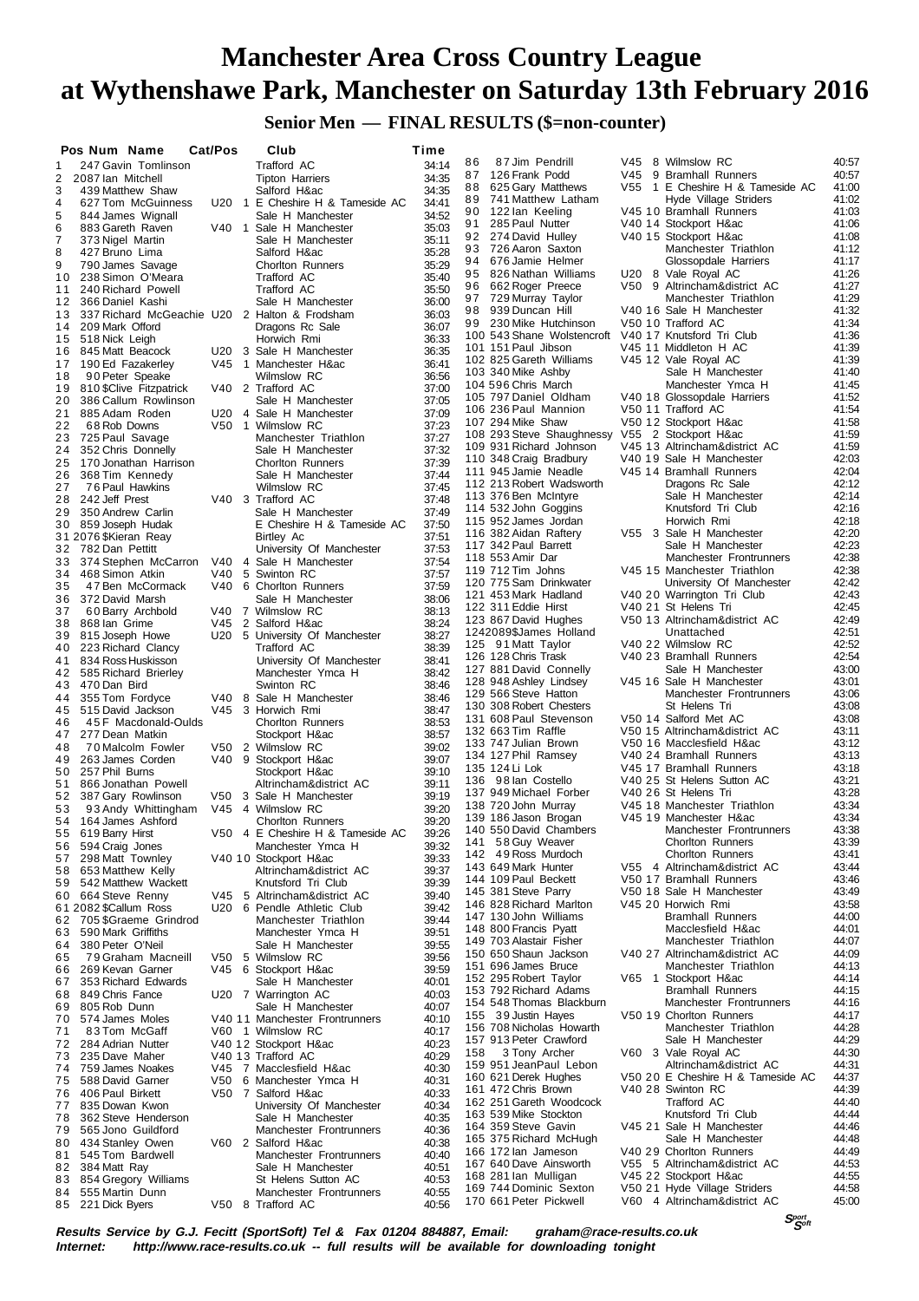**Senior Men — FINAL RESULTS (\$=non-counter)**

|                | Pos Num Name                                                     | Cat/Pos | Club                                                    | Time           |                                                  |     |                                                        |                |
|----------------|------------------------------------------------------------------|---------|---------------------------------------------------------|----------------|--------------------------------------------------|-----|--------------------------------------------------------|----------------|
| 1              | 247 Gavin Tomlinson                                              |         | Trafford AC                                             | 34:14          | 87 Jim Pendrill<br>86                            |     | V45 8 Wilmslow RC                                      | 40.57          |
| 2              | 2087 Ian Mitchell                                                |         | <b>Tipton Harriers</b>                                  | 34:35          | 126 Frank Podd<br>87                             | V45 | 9 Bramhall Runners                                     | 40:57          |
| 3              | 439 Matthew Shaw                                                 |         | Salford H∾                                              | 34:35          | 88<br>625 Gary Matthews                          |     | V55 1 E Cheshire H & Tameside AC                       | 41:00          |
| 4              | 627 Tom McGuinness                                               |         | U20 1 E Cheshire H & Tameside AC                        | 34:41          | 89 741 Matthew Latham<br>90<br>122 lan Keeling   |     | Hyde Village Striders<br>V45 10 Bramhall Runners       | 41:02<br>41:03 |
| 5<br>6         | 844 James Wignall                                                |         | Sale H Manchester<br>V40 1 Sale H Manchester            | 34:52<br>35:03 | 285 Paul Nutter<br>91                            |     | V40 14 Stockport H∾                                    | 41:06          |
| $\overline{7}$ | 883 Gareth Raven<br>373 Nigel Martin                             |         | Sale H Manchester                                       | 35:11          | 92 274 David Hulley                              |     | V40 15 Stockport H∾                                    | 41:08          |
| 8              | 427 Bruno Lima                                                   |         | Salford H∾                                              | 35:28          | 93<br>726 Aaron Saxton                           |     | Manchester Triathlon                                   | 41:12          |
| 9              | 790 James Savage                                                 |         | <b>Chorlton Runners</b>                                 | 35:29          | 94<br>676 Jamie Helmer                           |     | Glossopdale Harriers                                   | 41:17          |
| 10             | 238 Simon O'Meara                                                |         | Trafford AC                                             | 35:40          | 95 826 Nathan Williams                           |     | U20 8 Vale Royal AC                                    | 41:26          |
| 11             | 240 Richard Powell                                               |         | Trafford AC                                             | 35:50          | 662 Roger Preece<br>96<br>97 729 Murray Taylor   |     | V50 9 Altrincham&district AC<br>Manchester Triathlon   | 41:27<br>41:29 |
| 12             | 366 Daniel Kashi                                                 |         | Sale H Manchester                                       | 36:00          | 98 939 Duncan Hill                               |     | V40 16 Sale H Manchester                               | 41:32          |
| 13<br>14       | 337 Richard McGeachie U20 2 Halton & Frodsham<br>209 Mark Offord |         | Dragons Rc Sale                                         | 36:03<br>36:07 | 99 230 Mike Hutchinson                           |     | V50 10 Trafford AC                                     | 41:34          |
| 15             | 518 Nick Leigh                                                   |         | Horwich Rmi                                             | 36:33          | 100 543 Shane Wolstencroft                       |     | V40 17 Knutsford Tri Club                              | 41:36          |
| 16             | 845 Matt Beacock                                                 |         | U20 3 Sale H Manchester                                 | 36:35          | 101 151 Paul Jibson                              |     | V45 11 Middleton H AC                                  | 41:39          |
| 17             | 190 Ed Fazakerley                                                |         | V45 1 Manchester H∾                                     | 36:41          | 102 825 Gareth Williams                          |     | V45 12 Vale Royal AC                                   | 41:39          |
| 18             | 90 Peter Speake                                                  |         | <b>Wilmslow RC</b>                                      | 36:56          | 103 340 Mike Ashby                               |     | Sale H Manchester<br>Manchester Ymca H                 | 41:40<br>41:45 |
| 19             | 810 \$Clive Fitzpatrick                                          |         | V40 2 Trafford AC                                       | 37:00          | 104 596 Chris March<br>105 797 Daniel Oldham     |     | V40 18 Glossopdale Harriers                            | 41:52          |
| 20<br>21       | 386 Callum Rowlinson<br>885 Adam Roden                           |         | Sale H Manchester<br>U20 4 Sale H Manchester            | 37:05<br>37:09 | 106 236 Paul Mannion                             |     | V50 11 Trafford AC                                     | 41:54          |
| 22             | 68 Rob Downs                                                     |         | V50 1 Wilmslow RC                                       | 37:23          | 107 294 Mike Shaw                                |     | V50 12 Stockport H∾                                    | 41:58          |
| 23             | 725 Paul Savage                                                  |         | Manchester Triathlon                                    | 37:27          | 108 293 Steve Shaughnessy                        |     | V55 2 Stockport H∾                                     | 41:59          |
| 24             | 352 Chris Donnelly                                               |         | Sale H Manchester                                       | 37:32          | 109 931 Richard Johnson                          |     | V45 13 Altrincham&district AC                          | 41:59          |
| 25             | 170 Jonathan Harrison                                            |         | <b>Chorlton Runners</b>                                 | 37:39          | 110 348 Craig Bradbury                           |     | V40 19 Sale H Manchester                               | 42:03<br>42:04 |
| 26             | 368 Tim Kennedy                                                  |         | Sale H Manchester                                       | 37:44          | 111 945 Jamie Neadle<br>112 213 Robert Wadsworth |     | V45 14 Bramhall Runners<br>Dragons Rc Sale             | 42:12          |
| 27<br>28       | 76 Paul Hawkins<br>242 Jeff Prest                                |         | <b>Wilmslow RC</b><br>V40 3 Trafford AC                 | 37:45<br>37:48 | 113 376 Ben McIntyre                             |     | Sale H Manchester                                      | 42:14          |
| 29             | 350 Andrew Carlin                                                |         | Sale H Manchester                                       | 37:49          | 114 532 John Goggins                             |     | Knutsford Tri Club                                     | 42:16          |
|                | 30 859 Joseph Hudak                                              |         | E Cheshire H & Tameside AC                              | 37:50          | 115 952 James Jordan                             |     | Horwich Rmi                                            | 42:18          |
|                | 31 2076 \$Kieran Reay                                            |         | Birtley Ac                                              | 37:51          | 116 382 Aidan Raftery                            |     | V55 3 Sale H Manchester                                | 42:20          |
|                | 32 782 Dan Pettitt                                               |         | University Of Manchester                                | 37:53          | 117 342 Paul Barrett                             |     | Sale H Manchester                                      | 42:23          |
| 33             | 374 Stephen McCarron                                             |         | V40 4 Sale H Manchester                                 | 37:54          | 118 553 Amir Dar<br>119 712 Tim Johns            |     | Manchester Frontrunners<br>V45 15 Manchester Triathlon | 42:38<br>42:38 |
| 34             | 468 Simon Atkin                                                  |         | V40 5 Swinton RC                                        | 37:57          | 120 775 Sam Drinkwater                           |     | University Of Manchester                               | 42:42          |
| 35<br>36       | 47 Ben McCormack<br>372 David Marsh                              |         | V40 6 Chorlton Runners<br>Sale H Manchester             | 37:59<br>38:06 | 121 453 Mark Hadland                             |     | V40 20 Warrington Tri Club                             | 42:43          |
| 37             | 60 Barry Archbold                                                |         | V40 7 Wilmslow RC                                       | 38:13          | 122 311 Eddie Hirst                              |     | V40 21 St Helens Tri                                   | 42:45          |
| 38             | 868 Ian Grime                                                    |         | V45 2 Salford H∾                                        | 38:24          | 123 867 David Hughes                             |     | V50 13 Altrincham&district AC                          | 42:49          |
| 39             | 815 Joseph Howe                                                  |         | U20 5 University Of Manchester                          | 38:27          | 1242089\$James Holland                           |     | Unattached                                             | 42:51          |
| 40             | 223 Richard Clancy                                               |         | Trafford AC                                             | 38:39          | 125 91 Matt Taylor<br>126 128 Chris Trask        |     | V40 22 Wilmslow RC<br>V40 23 Bramhall Runners          | 42:52<br>42:54 |
| 41             | 834 Ross Huskisson<br>585 Richard Brierley                       |         | University Of Manchester<br>Manchester Ymca H           | 38:41<br>38:42 | 127 881 David Connelly                           |     | Sale H Manchester                                      | 43:00          |
| 42<br>43       | 470 Dan Bird                                                     |         | Swinton RC                                              | 38:46          | 128 948 Ashley Lindsey                           |     | V45 16 Sale H Manchester                               | 43:01          |
| 44             | 355 Tom Fordyce                                                  |         | V40 8 Sale H Manchester                                 | 38:46          | 129 566 Steve Hatton                             |     | Manchester Frontrunners                                | 43:06          |
| 45             | 515 David Jackson                                                |         | V45 3 Horwich Rmi                                       | 38:47          | 130 308 Robert Chesters                          |     | St Helens Tri                                          | 43:08          |
| 46             | 45 F Macdonald-Oulds                                             |         | <b>Chorlton Runners</b>                                 | 38:53          | 131 608 Paul Stevenson<br>132 663 Tim Raffle     |     | V50 14 Salford Met AC<br>V50 15 Altrincham&district AC | 43:08<br>43:11 |
| 47             | 277 Dean Matkin                                                  |         | Stockport H∾                                            | 38:57          | 133 747 Julian Brown                             |     | V50 16 Macclesfield H∾                                 | 43:12          |
| 48<br>49       | 70 Malcolm Fowler<br>263 James Corden                            |         | V50 2 Wilmslow RC<br>V40 9 Stockport H∾                 | 39:02<br>39:07 | 134 127 Phil Ramsey                              |     | V40 24 Bramhall Runners                                | 43:13          |
|                | 50 257 Phil Burns                                                |         | Stockport H∾                                            | 39:10          | 135 124 Li Lok                                   |     | V45 17 Bramhall Runners                                | 43:18          |
| 51             | 866 Jonathan Powell                                              |         | Altrincham&district AC                                  | 39:11          | 136 98 lan Costello                              |     | V40 25 St Helens Sutton AC                             | 43:21          |
| 52             | 387 Gary Rowlinson                                               |         | V50 3 Sale H Manchester                                 | 39:19          | 137 949 Michael Forber                           |     | V40 26 St Helens Tri<br>V45 18 Manchester Triathlon    | 43:28<br>43:34 |
| 53             | 93 Andy Whittingham                                              |         | V45 4 Wilmslow RC                                       | 39:20          | 138 720 John Murray<br>139 186 Jason Brogan      |     | V45 19 Manchester H∾                                   | 43:34          |
| 54             | 164 James Ashford<br>619 Barry Hirst                             | V50     | <b>Chorlton Runners</b><br>4 E Cheshire H & Tameside AC | 39:20          | 140 550 David Chambers                           |     | Manchester Frontrunners                                | 43:38          |
| 55<br>56       | 594 Craig Jones                                                  |         | Manchester Ymca H                                       | 39.26<br>39:32 | 58 Guy Weaver<br>141                             |     | <b>Chorlton Runners</b>                                | 43:39          |
| 57             | 298 Matt Townley                                                 |         | V40 10 Stockport H∾                                     | 39:33          | 142 49 Ross Murdoch                              |     | <b>Chorlton Runners</b>                                | 43:41          |
| 58             | 653 Matthew Kelly                                                |         | Altrincham&district AC                                  | 39:37          | 143 649 Mark Hunter                              |     | V55 4 Altrincham&district AC                           | 43:44          |
| 59             | 542 Matthew Wackett                                              |         | Knutsford Tri Club                                      | 39:39          | 144 109 Paul Beckett<br>145 381 Steve Parry      |     | V50 17 Bramhall Runners<br>V50 18 Sale H Manchester    | 43:46<br>43:49 |
|                | 60 664 Steve Renny                                               |         | V45 5 Altrincham&district AC                            | 39:40          | 146 828 Richard Marlton                          |     | V45 20 Horwich Rmi                                     | 43:58          |
|                | 61 2082 \$Callum Ross<br>62 705 \$Graeme Grindrod                |         | U20 6 Pendle Athletic Club<br>Manchester Triathlon      | 39:42<br>39:44 | 147 130 John Williams                            |     | <b>Bramhall Runners</b>                                | 44:00          |
| 63             | 590 Mark Griffiths                                               |         | Manchester Ymca H                                       | 39:51          | 148 800 Francis Pyatt                            |     | Macclesfield H∾                                        | 44:01          |
| 64             | 380 Peter O'Neil                                                 |         | Sale H Manchester                                       | 39:55          | 149 703 Alastair Fisher                          |     | Manchester Triathlon                                   | 44:07          |
| 65             | 79 Graham Macneill                                               |         | V50 5 Wilmslow RC                                       | 39:56          | 150 650 Shaun Jackson                            |     | V40 27 Altrincham&district AC                          | 44:09          |
| 66             | 269 Kevan Garner                                                 |         | V45 6 Stockport H∾                                      | 39:59          | 151 696 James Bruce<br>152 295 Robert Taylor     |     | Manchester Triathlon<br>V65 1 Stockport H∾             | 44:13<br>44:14 |
| 67             | 353 Richard Edwards                                              |         | Sale H Manchester                                       | 40:01          | 153 792 Richard Adams                            |     | <b>Bramhall Runners</b>                                | 44:15          |
| 68<br>69       | 849 Chris Fance<br>805 Rob Dunn                                  |         | U20 7 Warrington AC<br>Sale H Manchester                | 40:03<br>40:07 | 154 548 Thomas Blackburn                         |     | Manchester Frontrunners                                | 44:16          |
| 70             | 574 James Moles                                                  |         | V40 11 Manchester Frontrunners                          | 40:10          | 155 39 Justin Hayes                              |     | V50 19 Chorlton Runners                                | 44:17          |
| 71             | 83 Tom McGaff                                                    |         | V60 1 Wilmslow RC                                       | 40:17          | 156 708 Nicholas Howarth                         |     | Manchester Triathlon                                   | 44:28          |
| 72             | 284 Adrian Nutter                                                |         | V40 12 Stockport H∾                                     | 40:23          | 157 913 Peter Crawford                           |     | Sale H Manchester                                      | 44:29          |
| 73             | 235 Dave Maher                                                   |         | V40 13 Trafford AC                                      | 40:29          | 3 Tony Archer<br>158<br>159 951 JeanPaul Lebon   |     | V60 3 Vale Royal AC<br>Altrincham&district AC          | 44:30<br>44:31 |
| 74             | 759 James Noakes                                                 |         | V45 7 Macclesfield H∾                                   | 40:30          | 160 621 Derek Hughes                             |     | V50 20 E Cheshire H & Tameside AC                      | 44:37          |
| 75<br>76       | 588 David Garner<br>406 Paul Birkett                             | V50     | 6 Manchester Ymca H<br>V50 7 Salford H∾                 | 40:31<br>40:33 | 161 472 Chris Brown                              |     | V40 28 Swinton RC                                      | 44:39          |
| 77             | 835 Dowan Kwon                                                   |         | University Of Manchester                                | 40:34          | 162 251 Gareth Woodcock                          |     | Trafford AC                                            | 44:40          |
| 78             | 362 Steve Henderson                                              |         | Sale H Manchester                                       | 40:35          | 163 539 Mike Stockton                            |     | Knutsford Tri Club                                     | 44:44          |
| 79             | 565 Jono Guildford                                               |         | Manchester Frontrunners                                 | 40:36          | 164 359 Steve Gavin                              |     | V45 21 Sale H Manchester                               | 44:46          |
| 80             | 434 Stanley Owen                                                 |         | V60 2 Salford H∾                                        | 40:38          | 165 375 Richard McHugh<br>166 172 lan Jameson    |     | Sale H Manchester<br>V40 29 Chorlton Runners           | 44:48<br>44:49 |
| 81             | 545 Tom Bardwell                                                 |         | Manchester Frontrunners<br>Sale H Manchester            | 40:40<br>40:51 | 167 640 Dave Ainsworth                           |     | V55 5 Altrincham&district AC                           | 44:53          |
| 82<br>83       | 384 Matt Ray<br>854 Gregory Williams                             |         | St Helens Sutton AC                                     | 40:53          | 168 281 lan Mulligan                             |     | V45 22 Stockport H∾                                    | 44:55          |
| 84             | 555 Martin Dunn                                                  |         | Manchester Frontrunners                                 | 40:55          | 169 744 Dominic Sexton                           |     | V50 21 Hyde Village Striders                           | 44:58          |
|                | 85 221 Dick Byers                                                |         | V50 8 Trafford AC                                       | 40:56          | 170 661 Peter Pickwell                           |     | V60 4 Altrincham&district AC                           | 45:00          |

**Results Service by G.J. Fecitt (SportSoft) Tel & Fax 01204 884887, Email: graham@race-results.co.uk Internet: http://www.race-results.co.uk -- full results will be available for downloading tonight**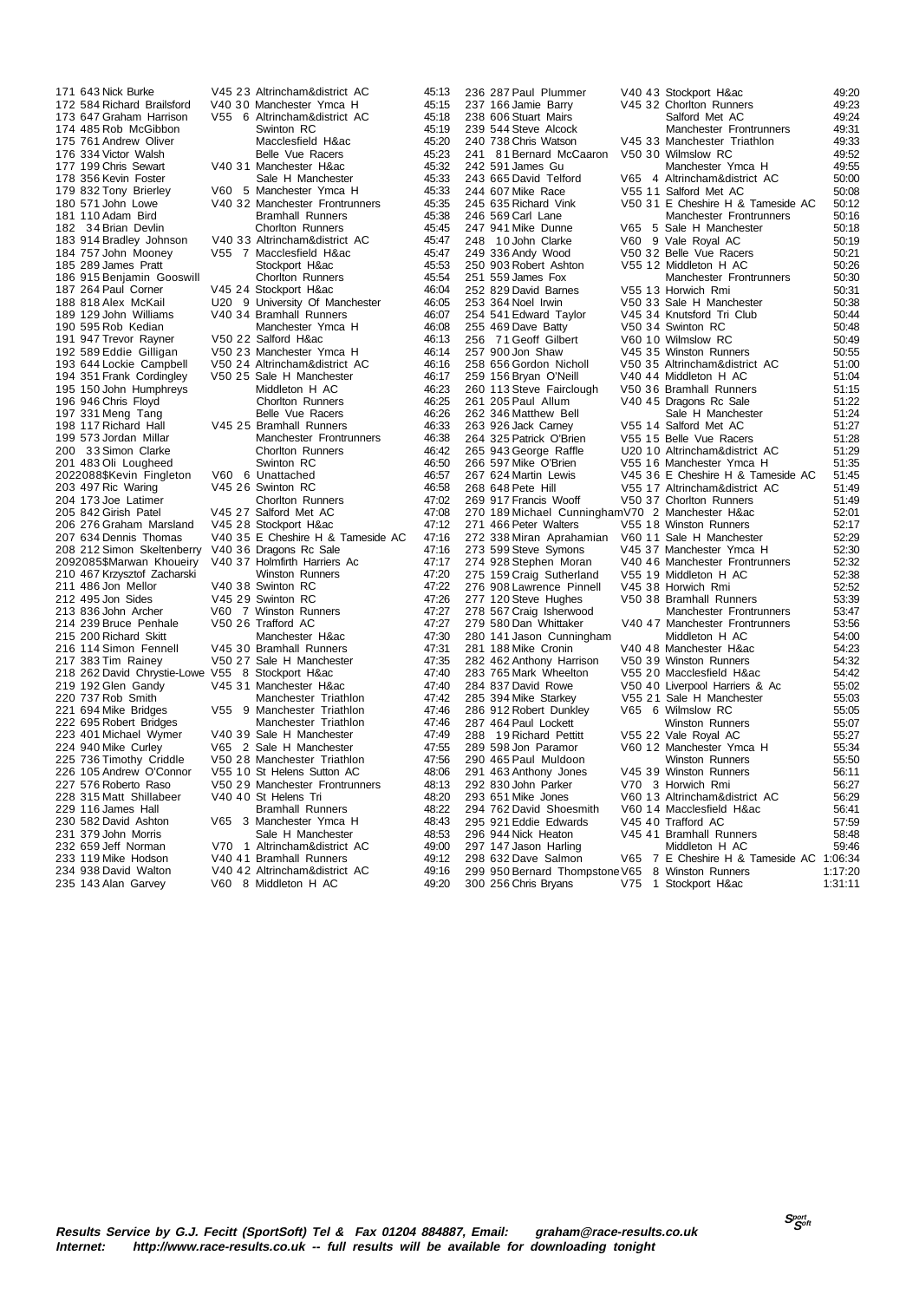182 34 Brian Devlin 186 915 Benjamin Gooswill 195 150 John Humphreys 208 212 Simon Skeltenberry 229 116 James Hall

171 643 Nick Burke V45 23 Altrincham&district AC 45:13 V40 30 Manchester Ymca H 45:15<br>V55 6 Altrincham&district AC 45:18 173 647 Graham Harrison V55 6 Altrincham&district AC 45:18 174 485 Rob McGibbon Swinton RC 45:19<br>175 761 Andrew Oliver Macclesfield H&ac 45:20 175 761 Andrew Oliver Macclesfield H&ac 45:20 176 334 Victor Walsh Belle Vue Racers 45:23 177 199 Chris Sewart V40 31 Manchester H&ac 45:32 178 356 Kevin Foster Sale H Manchester 45:33<br>179 832 Tony Brierley 160 5 Manchester Ymca H 45:33 179 832 Tony Brierley V60 5 Manchester Ymca H 45:33<br>180 571 John Lowe V40 32 Manchester Frontrunners 45:35 V40 32 Manchester Frontrunners 45:35<br>Bramhall Runners 45:38 181 110 Adam Bird Bramhall Runners 45:38 183 914 Bradley Johnson V40 33 Altrincham&district AC 45:47 184 757 John Mooney V55 7 Macclesfield H&ac 45:47 185 289 James Pratt 1992 1993 1994 1995 289 James Pratt 1995 31 Stockport H&ac 45:53<br>186 915 Benjamin Gooswill 1996 2010 100 Chorton Runners 45:54 187 264 Paul Corner V45 24 Stockport H&ac 46:04<br>188 818 Alex McKail 190 9 University Of Manchester 46:05 188 818 Alex McKail U20 9 University Of Manchester 46:05<br>189 129 John Williams V40 34 Bramhall Runners 46:07 V40 34 Bramhall Runners<br>Manchester Ymca H 190 595 Rob Kedian **Manchester Ymca H** 46:08<br>191 947 Trevor Ravner V50 22 Salford H&ac 46:13 191 947 Trevor Rayner v V50 22 Salford H&ac 46:13<br>192 589 Eddie Gilligan v V50 23 Manchester Ymca H 46:14 192 589 Eddie Gilligan V50 23 Manchester Ymca H 46:14<br>193 644 Lockie Campbell V50 24 Altrincham&district AC 46:16 193 644 V50 24 Altrincham&district AC 46:16<br>193 646 V50 25 Sale H Manchester 46:17 194 351 Frank Cordingley V50 25 Sale H Manchester 46:17<br>195 150 John Humphreys Middleton H AC 46:23 196 946 Chris Floyd Chorlton Runners 46:25<br>197 331 Meng Tang Chorles Belle Vue Racers 46:26 197 331 Meng Tang Belle Vue Racers 46:26 198 117 Richard Hall V45 25 Bramhall Runners 46:33<br>199 573 Jordan Millar Manchester Frontrunners 46:38 Manchester Frontrunners 46:38<br>Chorlton Runners 46:42 200 33 Simon Clarke Chorlton Runners 46:42<br>
201 483 Oli Lougheed Swinton RC 46:50 201 483 Oli Lougheed Swinton RC 46:50 2022088\$Kevin Fingleton V60 6 Unattached 46:57 2022 November 1, 1990 No. 1990 No. 1990 No. 1990 No. 1991 No. 1990 No. 1991 No. 1990 No. 1990 No. 1990 No. 19<br>203 497 Ric Waring V45 26 Swinton RC 46:58<br>204 173 Joe Latimer Chorlton Runners 47:02 204 173 Joe Latimer Chorlton Runners 47:02<br>205 842 Girish Patel 1945 27 Salford Met AC 47:08 205 842 Girish Patel V45 27 Salford Met AC 47:08 206 276 Graham Marsland V45 28 Stockport H&ac 47:12 V40 35 E Cheshire H & Tameside AC 47:16<br>V40 36 Dragons Rc Sale 47:16 2092085\$Marwan Khoueiry V40 37 Holmfirth Harriers Ac 47:17 210 467 Krzysztof Zacharski Winston Runners 47:20 211 486 Jon Mellor V40 38 Swinton RC 47:22<br>212 495 Jon Sides V45 29 Swinton RC 47:26 212 47:26 V45 29 Swinton RC 47:26<br>1227 V60 7 Winston Runners 47:27 213 836 John Archer V60 7 Winston Runners 47:27 214 239 Bruce Penhale V50 26 Trafford AC 47:27<br>215 200 Richard Skitt Manchester H&ac 47:30 215 200 Richard Skitt Manchester H&ac 47:30 216 114 Simon Fennell V45 30 Bramhall Runners 47:31 V50 27 Sale H Manchester 47:35<br>V55 8 Stockport H&ac 47:40 218 262 David Chrystie-Lowe V55 8 Stockport H&ac 47:40 219 192 Glen Gandy V45 31 Manchester H&ac 47:40 220 737 Rob Smith Manchester Triathlon 221 694 Mike Bridges V55 9 Manchester Triathlon Manchester Triathlon 47:46<br>Manchester Triathlon 47:46 222 695 Robert Bridges Manchester Triathlon 47:46 V40 39 Sale H Manchester 224 940 Mike Curley V65 2 Sale H Manchester 47:55<br>225 736 Timothy Criddle V50 28 Manchester Triathlon 47:56 225 736 Timothy Criddle V50 28 Manchester Triathlon 47:56<br>226 105 Andrew O'Connor V55 10 St Helens Sutton AC 48:06 226 105 Andrew O'Connor 195 10 St Helens Sutton AC 48:06<br>227 576 Roberto Raso 195 10 St Helens Sutton AC 48:06 227 V50 29 Manchester Frontrunners 48:13<br>140 An St Helens Tri 48:20 228 315 Matt Shillabeer V40 40 St Helens Tri 48:20 230 582 David Ashton V65 3 Manchester Ymca H 48:43 231 379 John Morris **Sale H Manchester** 48:53<br>232 659 Jeff Norman V70 1 Altrincham&district AC 49:00 232 659 Jeff Norman V70 1 Altrincham&district AC 49:00 233 119 Mike Hodson V40 41 Bramhall Runners 49:12<br>234 938 David Walton V40 42 Altrincham&district AC 49:16 234 938 David Walton V40 42 Altrincham&district AC 49:16 V60 8 Middleton H AC

236 287 Paul Plummer V40 43 Stockport H&ac 49:20 232 166 V45 32 Chorlton Runners 49:23<br>24.9:24 Salford Met AC 238 606 Stuart Tears<br>
238 606 Stuart Mairs Salford Met AC 49:24<br>
239 544 Steve Alcock Manchester Frontrunners 49:31 169 Dave Batty V50 34 Swinton RC<br>71 Geoff Gilbert V60 1.0 Wilmslow R 297 147 Jason Harling Middleton H AC 59:46<br>298 632 Dave Salmon V65 7 E Cheshire H & Tameside AC 1:06:34 299 950 Bernard Thompstone V65 8 Winston Runners 1:17:20<br>200 256 Chris Bryans 775 1 Stockport H&ac 1:31:11

300 256 Chris Bryans

239 544 Steve Alcock Manchester Frontrunners 49:31 240 738 Chris Watson V45 33 Manchester Triathlon 49:33 241 81 Bernard McCaaron V50 30 Wilmslow RC 49:52 242 591 James Gu Manchester Ymca H 49:55<br>243 665 David Telford V65 4 Altrincham&district AC 50:00 243 665 David Telford V65 4 Altrincham&district AC 50:00 244 607 Mike Race V55 11 Salford Met AC 50:08<br>245 635 Richard Vink V50 31 E Cheshire H & Tameside AC 50:12 245 635 Richard Vink V50 31 E Cheshire H & Tameside AC 50:12 246 569 Carl Lane Manchester Frontrunners 50:16<br>247 941 Mike Dunne M65 5 Sale H Manchester 50:18 5 Sale H Manchester 248 10 John Clarke V60 9 Vale Royal AC 50:19<br>249 336 Andy Wood V50 32 Belle Vue Racers 50:21 249 336 Andy Wood V50 32 Belle Vue Racers 50:21 250 903 Robert Ashton V55 12 Middleton H AC 50:26 251 559 James Fox Manchester Frontrunners 50:30 252 829 David Barnes V55 13 Horwich Rmi 50:31 253 364 Noel Irwin V50 33 Sale H Manchester 50:38 254 541 Edward Taylor V45 34 Knutsford Tri Club 50:44 256 71 Geoff Gilbert V60 10 Wilmslow RC 50:49<br>257 900 Jon Shaw V45 35 Winston Runners 50:55 257 900 Jon Shaw 257 900 Jon Shaw 255 Winston Runners<br>258 656 Gordon Nicholl 250 35 Altrincham&district AC 51:00 258 656 Gordon Nicholl V50 35 Altrincham&district AC 51:00 259 156 Bryan O'Neill V40 44 Middleton H AC 51:04 260 113 Steve Fairclough V50 36 Bramhall Runners 51:15<br>261 205 Paul Allum V40 45 Dragons Rc Sale 51:22 V40 45 Dragons Rc Sale<br>Sale H Manchester 262 346 Matthew Bell Sale H Manchester 51:24<br>263 926 Jack Carney 51:27 V55 14 Salford Met AC 51:27 263 926 Jack Carney V55 14 Salford Met AC 51:27 264 325 Patrick O'Brien V55 15 Belle Vue Racers 51:28<br>265 943 George Raffle U20 10 Altrincham&district AC 51:29 265 943 George Raffle U20 10 Altrincham&district AC 51:29 266 597 Mike O'Brien V55 16 Manchester Ymca H 51:35<br>267 624 Martin Lewis V45 36 E Cheshire H & Tameside AC 51:45 V45 36 E Cheshire H & Tameside AC 268 648 Pete Hill V55 17 Altrincham&district AC 51:49 269 917 Francis Wooff V50 37 Chorlton Runners 51:49 270 189 Michael CunninghamV70 2 Manchester H&ac 52:01 271 18 Vinston Runners 162:17<br>166 Peter Wanchester 162:29 272 338 Miran Aprahamian V60 11 Sale H Manchester 52:29 V45 37 Manchester Ymca H 274 928 Stephen Moran V40 46 Manchester Frontrunners 52:32<br>275 159 Crain Sutherland V55 1.9 Middleton H AC 275 159 Craig Sutherland V55 19 Middleton H AC 52:38 276 908 Lawrence Pinnell V45 38 Horwich Rmi 52:52 V50 38 Bramhall Runners 53:39<br>Manchester Frontrunners 53:47 278 567 Craig Isherwood Manchester Frontrunners 53:47<br>279 580 Dan Whittaker V40 47 Manchester Frontrunners 53:56 V40 47 Manchester Frontrunners 53:56<br>Middleton H AC 54:00 280 141 Jason Cunningham Middleton H AC 54:00<br>281 188 Mike Cronin 1/40 48 Manchester H&ac 54:23 281 V40 48 Manchester H&ac 54:23<br>188 V50 39 Winston Runners 54:32 282 462 Anthony Harrison V50 39 Winston Runners 54:32 283 765 Mark Wheelton V55 20 Macclesfield H&ac 54:42 284 837 David Rowe V50 40 Liverpool Harriers & Ac 55:02 V55 21 Sale H Manchester 55:03<br>V65 6 Wilmslow RC 55:05 286 912 Robert Dunkley V65 6 Wilmslow RC 55:05 287 464 Paul Lockett Winston Runners 55:07 V55 22 Vale Royal AC 289 598 Jon Paramor V60 12 Manchester Ymca H 55:34 290 465 Paul Muldoon 2002 - Winston Runners 55:50<br>290 465 Paul Muldoon 291 463 Winston Runners 56:11 291 463 Anthony Jones V45 39 Winston Runners 56:11 292 830 John Parker V70 3 Horwich Rmi 56:27 293 651 Mike Jones V60 13 Altrincham&district AC 56:29 V60 14 Macclesfield H&ac<br>V45 40 Trafford AC 295 921 Eddie Edwards V45 40 Trafford AC 57:59<br>296 944 Nick Heaton V45 41 Bramhall Runners 58:48 296 145 V45 41 Bramhall Runners 58:48<br>Middleton H AC 59:46

7 E Cheshire H & Tameside AC 1:06:34<br>8 Winston Runners 1:17:20